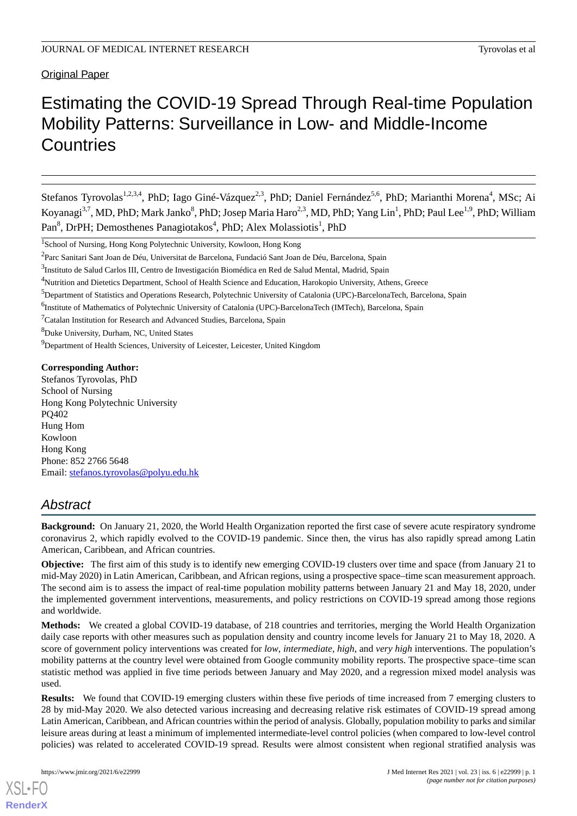Original Paper

# Estimating the COVID-19 Spread Through Real-time Population Mobility Patterns: Surveillance in Low- and Middle-Income **Countries**

Stefanos Tyrovolas<sup>1,2,3,4</sup>, PhD; Iago Giné-Vázquez<sup>2,3</sup>, PhD; Daniel Fernández<sup>5,6</sup>, PhD; Marianthi Morena<sup>4</sup>, MSc; Ai Koyanagi<sup>3,7</sup>, MD, PhD; Mark Janko<sup>8</sup>, PhD; Josep Maria Haro<sup>2,3</sup>, MD, PhD; Yang Lin<sup>1</sup>, PhD; Paul Lee<sup>1,9</sup>, PhD; William Pan<sup>8</sup>, DrPH; Demosthenes Panagiotakos<sup>4</sup>, PhD; Alex Molassiotis<sup>1</sup>, PhD

<sup>5</sup>Department of Statistics and Operations Research, Polytechnic University of Catalonia (UPC)-BarcelonaTech, Barcelona, Spain

<sup>8</sup>Duke University, Durham, NC, United States

<sup>9</sup>Department of Health Sciences, University of Leicester, Leicester, United Kingdom

**Corresponding Author:**

Stefanos Tyrovolas, PhD School of Nursing Hong Kong Polytechnic University PQ402 Hung Hom Kowloon Hong Kong Phone: 852 2766 5648 Email: [stefanos.tyrovolas@polyu.edu.hk](mailto:stefanos.tyrovolas@polyu.edu.hk)

## *Abstract*

**Background:** On January 21, 2020, the World Health Organization reported the first case of severe acute respiratory syndrome coronavirus 2, which rapidly evolved to the COVID-19 pandemic. Since then, the virus has also rapidly spread among Latin American, Caribbean, and African countries.

**Objective:** The first aim of this study is to identify new emerging COVID-19 clusters over time and space (from January 21 to mid-May 2020) in Latin American, Caribbean, and African regions, using a prospective space–time scan measurement approach. The second aim is to assess the impact of real-time population mobility patterns between January 21 and May 18, 2020, under the implemented government interventions, measurements, and policy restrictions on COVID-19 spread among those regions and worldwide.

**Methods:** We created a global COVID-19 database, of 218 countries and territories, merging the World Health Organization daily case reports with other measures such as population density and country income levels for January 21 to May 18, 2020. A score of government policy interventions was created for *low*, *intermediate*, *high*, and *very high* interventions. The population's mobility patterns at the country level were obtained from Google community mobility reports. The prospective space–time scan statistic method was applied in five time periods between January and May 2020, and a regression mixed model analysis was used.

**Results:** We found that COVID-19 emerging clusters within these five periods of time increased from 7 emerging clusters to 28 by mid-May 2020. We also detected various increasing and decreasing relative risk estimates of COVID-19 spread among Latin American, Caribbean, and African countries within the period of analysis. Globally, population mobility to parks and similar leisure areas during at least a minimum of implemented intermediate-level control policies (when compared to low-level control policies) was related to accelerated COVID-19 spread. Results were almost consistent when regional stratified analysis was

<sup>1</sup> School of Nursing, Hong Kong Polytechnic University, Kowloon, Hong Kong

<sup>&</sup>lt;sup>2</sup>Parc Sanitari Sant Joan de Déu, Universitat de Barcelona, Fundació Sant Joan de Déu, Barcelona, Spain

<sup>&</sup>lt;sup>3</sup>Instituto de Salud Carlos III, Centro de Investigación Biomédica en Red de Salud Mental, Madrid, Spain

<sup>4</sup>Nutrition and Dietetics Department, School of Health Science and Education, Harokopio University, Athens, Greece

<sup>&</sup>lt;sup>6</sup>Institute of Mathematics of Polytechnic University of Catalonia (UPC)-BarcelonaTech (IMTech), Barcelona, Spain

<sup>7</sup>Catalan Institution for Research and Advanced Studies, Barcelona, Spain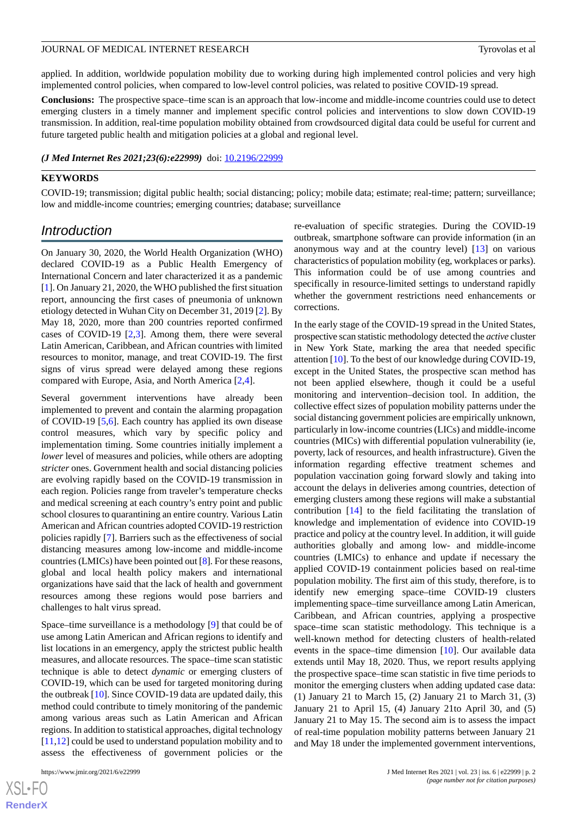applied. In addition, worldwide population mobility due to working during high implemented control policies and very high implemented control policies, when compared to low-level control policies, was related to positive COVID-19 spread.

**Conclusions:** The prospective space–time scan is an approach that low-income and middle-income countries could use to detect emerging clusters in a timely manner and implement specific control policies and interventions to slow down COVID-19 transmission. In addition, real-time population mobility obtained from crowdsourced digital data could be useful for current and future targeted public health and mitigation policies at a global and regional level.

#### *(J Med Internet Res 2021;23(6):e22999)* doi:  $10.2196/22999$

#### **KEYWORDS**

COVID-19; transmission; digital public health; social distancing; policy; mobile data; estimate; real-time; pattern; surveillance; low and middle-income countries; emerging countries; database; surveillance

## *Introduction*

On January 30, 2020, the World Health Organization (WHO) declared COVID-19 as a Public Health Emergency of International Concern and later characterized it as a pandemic [[1\]](#page-12-0). On January 21, 2020, the WHO published the first situation report, announcing the first cases of pneumonia of unknown etiology detected in Wuhan City on December 31, 2019 [\[2](#page-12-1)]. By May 18, 2020, more than 200 countries reported confirmed cases of COVID-19 [\[2](#page-12-1),[3\]](#page-12-2). Among them, there were several Latin American, Caribbean, and African countries with limited resources to monitor, manage, and treat COVID-19. The first signs of virus spread were delayed among these regions compared with Europe, Asia, and North America [[2](#page-12-1)[,4\]](#page-12-3).

Several government interventions have already been implemented to prevent and contain the alarming propagation of COVID-19 [\[5,](#page-12-4)[6\]](#page-12-5). Each country has applied its own disease control measures, which vary by specific policy and implementation timing. Some countries initially implement a *lower* level of measures and policies, while others are adopting *stricter* ones. Government health and social distancing policies are evolving rapidly based on the COVID-19 transmission in each region. Policies range from traveler's temperature checks and medical screening at each country's entry point and public school closures to quarantining an entire country. Various Latin American and African countries adopted COVID-19 restriction policies rapidly [\[7](#page-13-0)]. Barriers such as the effectiveness of social distancing measures among low-income and middle-income countries (LMICs) have been pointed out [[8\]](#page-13-1). For these reasons, global and local health policy makers and international organizations have said that the lack of health and government resources among these regions would pose barriers and challenges to halt virus spread.

Space–time surveillance is a methodology [[9\]](#page-13-2) that could be of use among Latin American and African regions to identify and list locations in an emergency, apply the strictest public health measures, and allocate resources. The space–time scan statistic technique is able to detect *dynamic* or emerging clusters of COVID-19, which can be used for targeted monitoring during the outbreak [\[10](#page-13-3)]. Since COVID-19 data are updated daily, this method could contribute to timely monitoring of the pandemic among various areas such as Latin American and African regions. In addition to statistical approaches, digital technology [[11](#page-13-4)[,12](#page-13-5)] could be used to understand population mobility and to assess the effectiveness of government policies or the

[XSL](http://www.w3.org/Style/XSL)•FO **[RenderX](http://www.renderx.com/)** re-evaluation of specific strategies. During the COVID-19 outbreak, smartphone software can provide information (in an anonymous way and at the country level) [\[13](#page-13-6)] on various characteristics of population mobility (eg, workplaces or parks). This information could be of use among countries and specifically in resource-limited settings to understand rapidly whether the government restrictions need enhancements or corrections.

In the early stage of the COVID-19 spread in the United States, prospective scan statistic methodology detected the *active* cluster in New York State, marking the area that needed specific attention [[10\]](#page-13-3). To the best of our knowledge during COVID-19, except in the United States, the prospective scan method has not been applied elsewhere, though it could be a useful monitoring and intervention–decision tool. In addition, the collective effect sizes of population mobility patterns under the social distancing government policies are empirically unknown, particularly in low-income countries (LICs) and middle-income countries (MICs) with differential population vulnerability (ie, poverty, lack of resources, and health infrastructure). Given the information regarding effective treatment schemes and population vaccination going forward slowly and taking into account the delays in deliveries among countries, detection of emerging clusters among these regions will make a substantial contribution [[14\]](#page-13-7) to the field facilitating the translation of knowledge and implementation of evidence into COVID-19 practice and policy at the country level. In addition, it will guide authorities globally and among low- and middle-income countries (LMICs) to enhance and update if necessary the applied COVID-19 containment policies based on real-time population mobility. The first aim of this study, therefore, is to identify new emerging space–time COVID-19 clusters implementing space–time surveillance among Latin American, Caribbean, and African countries, applying a prospective space–time scan statistic methodology. This technique is a well-known method for detecting clusters of health-related events in the space–time dimension [[10\]](#page-13-3). Our available data extends until May 18, 2020. Thus, we report results applying the prospective space–time scan statistic in five time periods to monitor the emerging clusters when adding updated case data: (1) January 21 to March 15, (2) January 21 to March 31, (3) January 21 to April 15, (4) January 21to April 30, and (5) January 21 to May 15. The second aim is to assess the impact of real-time population mobility patterns between January 21 and May 18 under the implemented government interventions,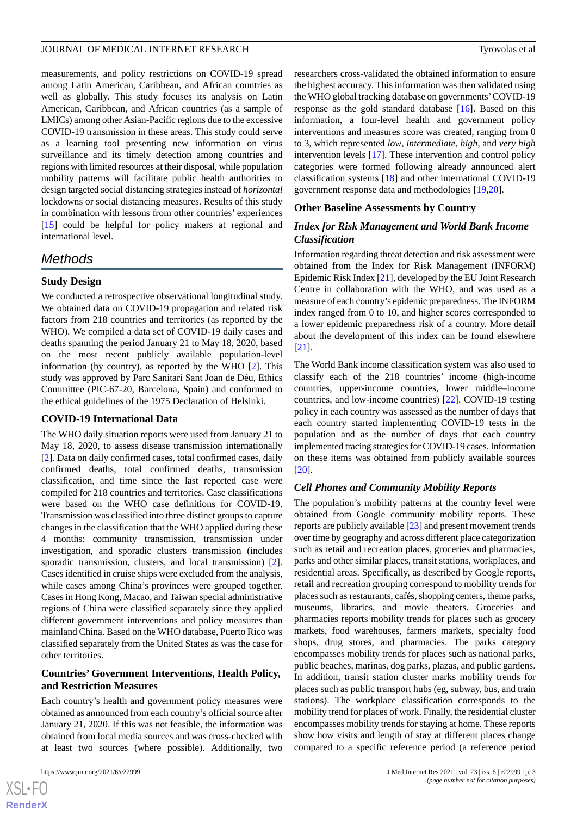measurements, and policy restrictions on COVID-19 spread among Latin American, Caribbean, and African countries as well as globally. This study focuses its analysis on Latin American, Caribbean, and African countries (as a sample of LMICs) among other Asian-Pacific regions due to the excessive COVID-19 transmission in these areas. This study could serve as a learning tool presenting new information on virus surveillance and its timely detection among countries and regions with limited resources at their disposal, while population mobility patterns will facilitate public health authorities to design targeted social distancing strategies instead of *horizontal* lockdowns or social distancing measures. Results of this study in combination with lessons from other countries' experiences [[15\]](#page-13-8) could be helpful for policy makers at regional and international level.

## *Methods*

## **Study Design**

We conducted a retrospective observational longitudinal study. We obtained data on COVID-19 propagation and related risk factors from 218 countries and territories (as reported by the WHO). We compiled a data set of COVID-19 daily cases and deaths spanning the period January 21 to May 18, 2020, based on the most recent publicly available population-level information (by country), as reported by the WHO [\[2](#page-12-1)]. This study was approved by Parc Sanitari Sant Joan de Déu, Ethics Committee (PIC-67-20, Barcelona, Spain) and conformed to the ethical guidelines of the 1975 Declaration of Helsinki.

## **COVID-19 International Data**

The WHO daily situation reports were used from January 21 to May 18, 2020, to assess disease transmission internationally [[2\]](#page-12-1). Data on daily confirmed cases, total confirmed cases, daily confirmed deaths, total confirmed deaths, transmission classification, and time since the last reported case were compiled for 218 countries and territories. Case classifications were based on the WHO case definitions for COVID-19. Transmission was classified into three distinct groups to capture changes in the classification that the WHO applied during these 4 months: community transmission, transmission under investigation, and sporadic clusters transmission (includes sporadic transmission, clusters, and local transmission) [[2\]](#page-12-1). Cases identified in cruise ships were excluded from the analysis, while cases among China's provinces were grouped together. Cases in Hong Kong, Macao, and Taiwan special administrative regions of China were classified separately since they applied different government interventions and policy measures than mainland China. Based on the WHO database, Puerto Rico was classified separately from the United States as was the case for other territories.

## **Countries' Government Interventions, Health Policy, and Restriction Measures**

Each country's health and government policy measures were obtained as announced from each country's official source after January 21, 2020. If this was not feasible, the information was obtained from local media sources and was cross-checked with at least two sources (where possible). Additionally, two

researchers cross-validated the obtained information to ensure the highest accuracy. This information was then validated using the WHO global tracking database on governments'COVID-19 response as the gold standard database [[16\]](#page-13-9). Based on this information, a four-level health and government policy interventions and measures score was created, ranging from 0 to 3, which represented *low*, *intermediate*, *high*, and *very high* intervention levels [[17\]](#page-13-10). These intervention and control policy categories were formed following already announced alert classification systems [\[18](#page-13-11)] and other international COVID-19 government response data and methodologies [[19](#page-13-12)[,20](#page-13-13)].

## **Other Baseline Assessments by Country**

## *Index for Risk Management and World Bank Income Classification*

Information regarding threat detection and risk assessment were obtained from the Index for Risk Management (INFORM) Epidemic Risk Index [\[21](#page-13-14)], developed by the EU Joint Research Centre in collaboration with the WHO, and was used as a measure of each country's epidemic preparedness. The INFORM index ranged from 0 to 10, and higher scores corresponded to a lower epidemic preparedness risk of a country. More detail about the development of this index can be found elsewhere [[21\]](#page-13-14).

The World Bank income classification system was also used to classify each of the 218 countries' income (high-income countries, upper-income countries, lower middle–income countries, and low-income countries) [[22\]](#page-13-15). COVID-19 testing policy in each country was assessed as the number of days that each country started implementing COVID-19 tests in the population and as the number of days that each country implemented tracing strategies for COVID-19 cases. Information on these items was obtained from publicly available sources [[20\]](#page-13-13).

## *Cell Phones and Community Mobility Reports*

The population's mobility patterns at the country level were obtained from Google community mobility reports. These reports are publicly available [\[23](#page-13-16)] and present movement trends over time by geography and across different place categorization such as retail and recreation places, groceries and pharmacies, parks and other similar places, transit stations, workplaces, and residential areas. Specifically, as described by Google reports, retail and recreation grouping correspond to mobility trends for places such as restaurants, cafés, shopping centers, theme parks, museums, libraries, and movie theaters. Groceries and pharmacies reports mobility trends for places such as grocery markets, food warehouses, farmers markets, specialty food shops, drug stores, and pharmacies. The parks category encompasses mobility trends for places such as national parks, public beaches, marinas, dog parks, plazas, and public gardens. In addition, transit station cluster marks mobility trends for places such as public transport hubs (eg, subway, bus, and train stations). The workplace classification corresponds to the mobility trend for places of work. Finally, the residential cluster encompasses mobility trends for staying at home. These reports show how visits and length of stay at different places change compared to a specific reference period (a reference period

 $XS$ -FO **[RenderX](http://www.renderx.com/)**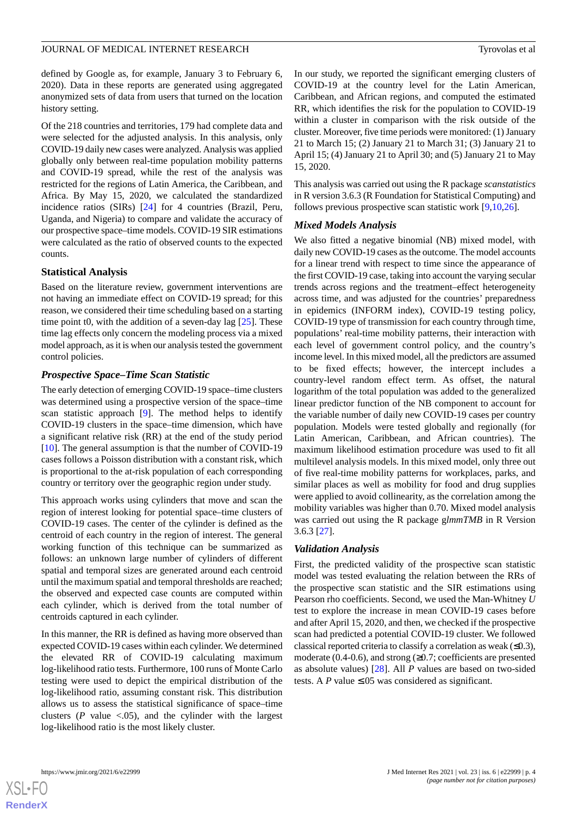defined by Google as, for example, January 3 to February 6, 2020). Data in these reports are generated using aggregated anonymized sets of data from users that turned on the location history setting.

Of the 218 countries and territories, 179 had complete data and were selected for the adjusted analysis. In this analysis, only COVID-19 daily new cases were analyzed. Analysis was applied globally only between real-time population mobility patterns and COVID-19 spread, while the rest of the analysis was restricted for the regions of Latin America, the Caribbean, and Africa. By May 15, 2020, we calculated the standardized incidence ratios (SIRs) [\[24](#page-13-17)] for 4 countries (Brazil, Peru, Uganda, and Nigeria) to compare and validate the accuracy of our prospective space–time models. COVID-19 SIR estimations were calculated as the ratio of observed counts to the expected counts.

#### **Statistical Analysis**

Based on the literature review, government interventions are not having an immediate effect on COVID-19 spread; for this reason, we considered their time scheduling based on a starting time point t0, with the addition of a seven-day lag  $[25]$  $[25]$ . These time lag effects only concern the modeling process via a mixed model approach, as it is when our analysis tested the government control policies.

## *Prospective Space–Time Scan Statistic*

The early detection of emerging COVID-19 space–time clusters was determined using a prospective version of the space–time scan statistic approach [[9](#page-13-2)]. The method helps to identify COVID-19 clusters in the space–time dimension, which have a significant relative risk (RR) at the end of the study period [[10\]](#page-13-3). The general assumption is that the number of COVID-19 cases follows a Poisson distribution with a constant risk, which is proportional to the at-risk population of each corresponding country or territory over the geographic region under study.

This approach works using cylinders that move and scan the region of interest looking for potential space–time clusters of COVID-19 cases. The center of the cylinder is defined as the centroid of each country in the region of interest. The general working function of this technique can be summarized as follows: an unknown large number of cylinders of different spatial and temporal sizes are generated around each centroid until the maximum spatial and temporal thresholds are reached; the observed and expected case counts are computed within each cylinder, which is derived from the total number of centroids captured in each cylinder.

In this manner, the RR is defined as having more observed than expected COVID-19 cases within each cylinder. We determined the elevated RR of COVID-19 calculating maximum log-likelihood ratio tests. Furthermore, 100 runs of Monte Carlo testing were used to depict the empirical distribution of the log-likelihood ratio, assuming constant risk. This distribution allows us to assess the statistical significance of space–time clusters  $(P \text{ value} < .05)$ , and the cylinder with the largest log-likelihood ratio is the most likely cluster.

In our study, we reported the significant emerging clusters of COVID-19 at the country level for the Latin American, Caribbean, and African regions, and computed the estimated RR, which identifies the risk for the population to COVID-19 within a cluster in comparison with the risk outside of the cluster. Moreover, five time periods were monitored: (1) January 21 to March 15; (2) January 21 to March 31; (3) January 21 to April 15; (4) January 21 to April 30; and (5) January 21 to May 15, 2020.

This analysis was carried out using the R package *scanstatistics* in R version 3.6.3 (R Foundation for Statistical Computing) and follows previous prospective scan statistic work [\[9](#page-13-2),[10](#page-13-3)[,26](#page-13-19)].

#### *Mixed Models Analysis*

We also fitted a negative binomial (NB) mixed model, with daily new COVID-19 cases as the outcome. The model accounts for a linear trend with respect to time since the appearance of the first COVID-19 case, taking into account the varying secular trends across regions and the treatment–effect heterogeneity across time, and was adjusted for the countries' preparedness in epidemics (INFORM index), COVID-19 testing policy, COVID-19 type of transmission for each country through time, populations' real-time mobility patterns, their interaction with each level of government control policy, and the country's income level. In this mixed model, all the predictors are assumed to be fixed effects; however, the intercept includes a country-level random effect term. As offset, the natural logarithm of the total population was added to the generalized linear predictor function of the NB component to account for the variable number of daily new COVID-19 cases per country population. Models were tested globally and regionally (for Latin American, Caribbean, and African countries). The maximum likelihood estimation procedure was used to fit all multilevel analysis models. In this mixed model, only three out of five real-time mobility patterns for workplaces, parks, and similar places as well as mobility for food and drug supplies were applied to avoid collinearity, as the correlation among the mobility variables was higher than 0.70. Mixed model analysis was carried out using the R package g*lmmTMB* in R Version 3.6.3 [[27\]](#page-13-20).

## *Validation Analysis*

First, the predicted validity of the prospective scan statistic model was tested evaluating the relation between the RRs of the prospective scan statistic and the SIR estimations using Pearson rho coefficients. Second, we used the Man-Whitney *U* test to explore the increase in mean COVID-19 cases before and after April 15, 2020, and then, we checked if the prospective scan had predicted a potential COVID-19 cluster. We followed classical reported criteria to classify a correlation as weak  $(\leq 0.3)$ , moderate (0.4-0.6), and strong  $(≥0.7;$  coefficients are presented as absolute values) [[28\]](#page-13-21). All *P* values are based on two-sided tests. A  $P$  value  $\leq 0.05$  was considered as significant.

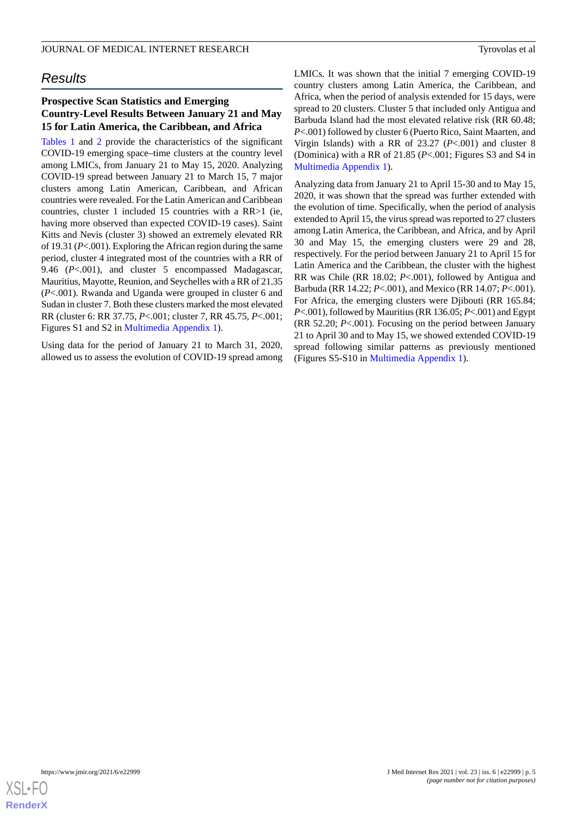## *Results*

## **Prospective Scan Statistics and Emerging Country-Level Results Between January 21 and May 15 for Latin America, the Caribbean, and Africa**

[Tables 1](#page-5-0) and [2](#page-6-0) provide the characteristics of the significant COVID-19 emerging space–time clusters at the country level among LMICs, from January 21 to May 15, 2020. Analyzing COVID-19 spread between January 21 to March 15, 7 major clusters among Latin American, Caribbean, and African countries were revealed. For the Latin American and Caribbean countries, cluster 1 included 15 countries with a RR>1 (ie, having more observed than expected COVID-19 cases). Saint Kitts and Nevis (cluster 3) showed an extremely elevated RR of 19.31 (*P*<.001). Exploring the African region during the same period, cluster 4 integrated most of the countries with a RR of 9.46 (*P*<.001), and cluster 5 encompassed Madagascar, Mauritius, Mayotte, Reunion, and Seychelles with a RR of 21.35 (*P*<.001). Rwanda and Uganda were grouped in cluster 6 and Sudan in cluster 7. Both these clusters marked the most elevated RR (cluster 6: RR 37.75, *P*<.001; cluster 7, RR 45.75, *P*<.001; Figures S1 and S2 in [Multimedia Appendix 1](#page-12-6)).

Using data for the period of January 21 to March 31, 2020, allowed us to assess the evolution of COVID-19 spread among LMICs. It was shown that the initial 7 emerging COVID-19 country clusters among Latin America, the Caribbean, and Africa, when the period of analysis extended for 15 days, were spread to 20 clusters. Cluster 5 that included only Antigua and Barbuda Island had the most elevated relative risk (RR 60.48; *P*<.001) followed by cluster 6 (Puerto Rico, Saint Maarten, and Virgin Islands) with a RR of 23.27 (*P*<.001) and cluster 8 (Dominica) with a RR of 21.85 (*P*<.001; Figures S3 and S4 in [Multimedia Appendix 1\)](#page-12-6).

Analyzing data from January 21 to April 15-30 and to May 15, 2020, it was shown that the spread was further extended with the evolution of time. Specifically, when the period of analysis extended to April 15, the virus spread was reported to 27 clusters among Latin America, the Caribbean, and Africa, and by April 30 and May 15, the emerging clusters were 29 and 28, respectively. For the period between January 21 to April 15 for Latin America and the Caribbean, the cluster with the highest RR was Chile (RR 18.02; *P*<.001), followed by Antigua and Barbuda (RR 14.22; *P*<.001), and Mexico (RR 14.07; *P*<.001). For Africa, the emerging clusters were Djibouti (RR 165.84; *P*<.001), followed by Mauritius (RR 136.05; *P*<.001) and Egypt (RR 52.20; *P*<.001). Focusing on the period between January 21 to April 30 and to May 15, we showed extended COVID-19 spread following similar patterns as previously mentioned (Figures S5-S10 in [Multimedia Appendix 1\)](#page-12-6).

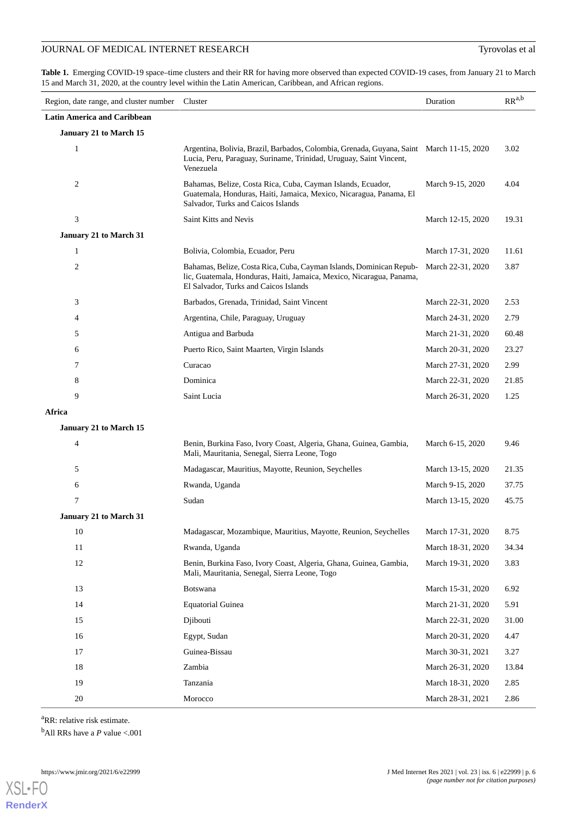<span id="page-5-0"></span>Table 1. Emerging COVID-19 space-time clusters and their RR for having more observed than expected COVID-19 cases, from January 21 to March 15 and March 31, 2020, at the country level within the Latin American, Caribbean, and African regions.

| Region, date range, and cluster number Cluster |                                                                                                                                                                                      | Duration          | $\ensuremath{\mathbf{R}}\ensuremath{\mathbf{R}}^{a,b}$ |
|------------------------------------------------|--------------------------------------------------------------------------------------------------------------------------------------------------------------------------------------|-------------------|--------------------------------------------------------|
| <b>Latin America and Caribbean</b>             |                                                                                                                                                                                      |                   |                                                        |
| January 21 to March 15                         |                                                                                                                                                                                      |                   |                                                        |
| $\mathbf{1}$                                   | Argentina, Bolivia, Brazil, Barbados, Colombia, Grenada, Guyana, Saint March 11-15, 2020<br>Lucia, Peru, Paraguay, Suriname, Trinidad, Uruguay, Saint Vincent,<br>Venezuela          |                   | 3.02                                                   |
| 2                                              | Bahamas, Belize, Costa Rica, Cuba, Cayman Islands, Ecuador,<br>Guatemala, Honduras, Haiti, Jamaica, Mexico, Nicaragua, Panama, El<br>Salvador, Turks and Caicos Islands              | March 9-15, 2020  | 4.04                                                   |
| 3                                              | Saint Kitts and Nevis                                                                                                                                                                | March 12-15, 2020 | 19.31                                                  |
| January 21 to March 31                         |                                                                                                                                                                                      |                   |                                                        |
| 1                                              | Bolivia, Colombia, Ecuador, Peru                                                                                                                                                     | March 17-31, 2020 | 11.61                                                  |
| $\overline{c}$                                 | Bahamas, Belize, Costa Rica, Cuba, Cayman Islands, Dominican Repub-<br>lic, Guatemala, Honduras, Haiti, Jamaica, Mexico, Nicaragua, Panama,<br>El Salvador, Turks and Caicos Islands | March 22-31, 2020 | 3.87                                                   |
| 3                                              | Barbados, Grenada, Trinidad, Saint Vincent                                                                                                                                           | March 22-31, 2020 | 2.53                                                   |
| 4                                              | Argentina, Chile, Paraguay, Uruguay                                                                                                                                                  | March 24-31, 2020 | 2.79                                                   |
| 5                                              | Antigua and Barbuda                                                                                                                                                                  | March 21-31, 2020 | 60.48                                                  |
| 6                                              | Puerto Rico, Saint Maarten, Virgin Islands                                                                                                                                           | March 20-31, 2020 | 23.27                                                  |
| 7                                              | Curacao                                                                                                                                                                              | March 27-31, 2020 | 2.99                                                   |
| 8                                              | Dominica                                                                                                                                                                             | March 22-31, 2020 | 21.85                                                  |
| 9                                              | Saint Lucia                                                                                                                                                                          | March 26-31, 2020 | 1.25                                                   |
| Africa                                         |                                                                                                                                                                                      |                   |                                                        |
| January 21 to March 15                         |                                                                                                                                                                                      |                   |                                                        |
| 4                                              | Benin, Burkina Faso, Ivory Coast, Algeria, Ghana, Guinea, Gambia,<br>Mali, Mauritania, Senegal, Sierra Leone, Togo                                                                   | March 6-15, 2020  | 9.46                                                   |
| 5                                              | Madagascar, Mauritius, Mayotte, Reunion, Seychelles                                                                                                                                  | March 13-15, 2020 | 21.35                                                  |
| 6                                              | Rwanda, Uganda                                                                                                                                                                       | March 9-15, 2020  | 37.75                                                  |
| 7                                              | Sudan                                                                                                                                                                                | March 13-15, 2020 | 45.75                                                  |
| <b>January 21 to March 31</b>                  |                                                                                                                                                                                      |                   |                                                        |
| 10                                             | Madagascar, Mozambique, Mauritius, Mayotte, Reunion, Seychelles                                                                                                                      | March 17-31, 2020 | 8.75                                                   |
| 11                                             | Rwanda, Uganda                                                                                                                                                                       | March 18-31, 2020 | 34.34                                                  |
| 12                                             | Benin, Burkina Faso, Ivory Coast, Algeria, Ghana, Guinea, Gambia,<br>Mali, Mauritania, Senegal, Sierra Leone, Togo                                                                   | March 19-31, 2020 | 3.83                                                   |
| 13                                             | Botswana                                                                                                                                                                             | March 15-31, 2020 | 6.92                                                   |
| 14                                             | <b>Equatorial Guinea</b>                                                                                                                                                             | March 21-31, 2020 | 5.91                                                   |
| 15                                             | Djibouti                                                                                                                                                                             | March 22-31, 2020 | 31.00                                                  |
| 16                                             | Egypt, Sudan                                                                                                                                                                         | March 20-31, 2020 | 4.47                                                   |
| 17                                             | Guinea-Bissau                                                                                                                                                                        | March 30-31, 2021 | 3.27                                                   |
| 18                                             | Zambia                                                                                                                                                                               | March 26-31, 2020 | 13.84                                                  |
| 19                                             | Tanzania                                                                                                                                                                             | March 18-31, 2020 | 2.85                                                   |
| 20                                             | Morocco                                                                                                                                                                              | March 28-31, 2021 | 2.86                                                   |

<sup>a</sup>RR: relative risk estimate.

<sup>b</sup>All RRs have a *P* value <.001

**[RenderX](http://www.renderx.com/)**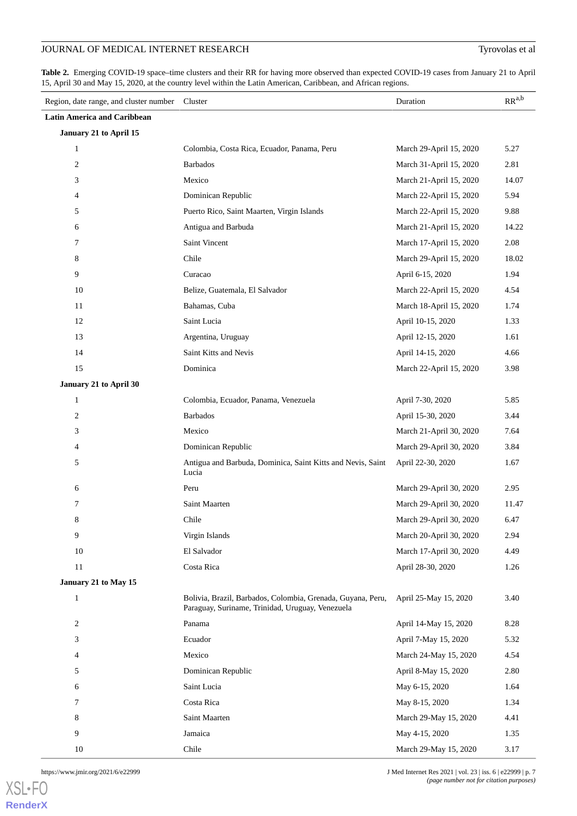<span id="page-6-0"></span>**Table 2.** Emerging COVID-19 space–time clusters and their RR for having more observed than expected COVID-19 cases from January 21 to April 15, April 30 and May 15, 2020, at the country level within the Latin American, Caribbean, and African regions.

| Region, date range, and cluster number Cluster |                                                                                                                 | Duration                | $RR^{a,b}$ |
|------------------------------------------------|-----------------------------------------------------------------------------------------------------------------|-------------------------|------------|
| <b>Latin America and Caribbean</b>             |                                                                                                                 |                         |            |
| January 21 to April 15                         |                                                                                                                 |                         |            |
| $\mathbf{1}$                                   | Colombia, Costa Rica, Ecuador, Panama, Peru                                                                     | March 29-April 15, 2020 | 5.27       |
| $\mathbf{2}$                                   | <b>Barbados</b>                                                                                                 | March 31-April 15, 2020 | 2.81       |
| 3                                              | Mexico                                                                                                          | March 21-April 15, 2020 | 14.07      |
| $\overline{4}$                                 | Dominican Republic                                                                                              | March 22-April 15, 2020 | 5.94       |
| 5                                              | Puerto Rico, Saint Maarten, Virgin Islands                                                                      | March 22-April 15, 2020 | 9.88       |
| 6                                              | Antigua and Barbuda                                                                                             | March 21-April 15, 2020 | 14.22      |
| 7                                              | Saint Vincent                                                                                                   | March 17-April 15, 2020 | 2.08       |
| 8                                              | Chile                                                                                                           | March 29-April 15, 2020 | 18.02      |
| 9                                              | Curacao                                                                                                         | April 6-15, 2020        | 1.94       |
| 10                                             | Belize, Guatemala, El Salvador                                                                                  | March 22-April 15, 2020 | 4.54       |
| 11                                             | Bahamas, Cuba                                                                                                   | March 18-April 15, 2020 | 1.74       |
| 12                                             | Saint Lucia                                                                                                     | April 10-15, 2020       | 1.33       |
| 13                                             | Argentina, Uruguay                                                                                              | April 12-15, 2020       | 1.61       |
| 14                                             | Saint Kitts and Nevis                                                                                           | April 14-15, 2020       | 4.66       |
| 15                                             | Dominica                                                                                                        | March 22-April 15, 2020 | 3.98       |
| January 21 to April 30                         |                                                                                                                 |                         |            |
| $\mathbf{1}$                                   | Colombia, Ecuador, Panama, Venezuela                                                                            | April 7-30, 2020        | 5.85       |
| $\mathbf{2}$                                   | <b>Barbados</b>                                                                                                 | April 15-30, 2020       | 3.44       |
| 3                                              | Mexico                                                                                                          | March 21-April 30, 2020 | 7.64       |
| $\overline{4}$                                 | Dominican Republic                                                                                              | March 29-April 30, 2020 | 3.84       |
| 5                                              | Antigua and Barbuda, Dominica, Saint Kitts and Nevis, Saint<br>Lucia                                            | April 22-30, 2020       | 1.67       |
| 6                                              | Peru                                                                                                            | March 29-April 30, 2020 | 2.95       |
| 7                                              | Saint Maarten                                                                                                   | March 29-April 30, 2020 | 11.47      |
| 8                                              | Chile                                                                                                           | March 29-April 30, 2020 | 6.47       |
| 9                                              | Virgin Islands                                                                                                  | March 20-April 30, 2020 | 2.94       |
| 10                                             | El Salvador                                                                                                     | March 17-April 30, 2020 | 4.49       |
| 11                                             | Costa Rica                                                                                                      | April 28-30, 2020       | 1.26       |
| January 21 to May 15                           |                                                                                                                 |                         |            |
| $\mathbf{1}$                                   | Bolivia, Brazil, Barbados, Colombia, Grenada, Guyana, Peru,<br>Paraguay, Suriname, Trinidad, Uruguay, Venezuela | April 25-May 15, 2020   | 3.40       |
| $\boldsymbol{2}$                               | Panama                                                                                                          | April 14-May 15, 2020   | 8.28       |
| 3                                              | Ecuador                                                                                                         | April 7-May 15, 2020    | 5.32       |
| $\overline{4}$                                 | Mexico                                                                                                          | March 24-May 15, 2020   | 4.54       |
| 5                                              | Dominican Republic                                                                                              | April 8-May 15, 2020    | 2.80       |
| 6                                              | Saint Lucia                                                                                                     | May 6-15, 2020          | 1.64       |
| 7                                              | Costa Rica                                                                                                      | May 8-15, 2020          | 1.34       |
| 8                                              | Saint Maarten                                                                                                   | March 29-May 15, 2020   | 4.41       |
| 9                                              | Jamaica                                                                                                         | May 4-15, 2020          | 1.35       |
| 10                                             | Chile                                                                                                           | March 29-May 15, 2020   | 3.17       |

https://www.jmir.org/2021/6/e22999 J Med Internet Res 2021 | vol. 23 | iss. 6 | e22999 | p. 7 *(page number not for citation purposes)*

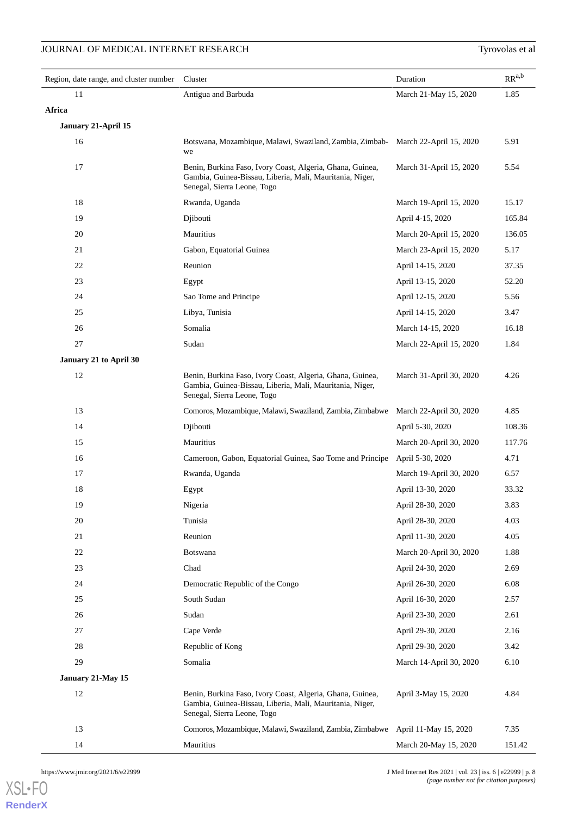| Region, date range, and cluster number | Cluster                                                                                                                                              | Duration                | $RR^{a,b}$ |
|----------------------------------------|------------------------------------------------------------------------------------------------------------------------------------------------------|-------------------------|------------|
| 11                                     | Antigua and Barbuda                                                                                                                                  | March 21-May 15, 2020   | 1.85       |
| Africa                                 |                                                                                                                                                      |                         |            |
| January 21-April 15                    |                                                                                                                                                      |                         |            |
| 16                                     | Botswana, Mozambique, Malawi, Swaziland, Zambia, Zimbab-<br>we                                                                                       | March 22-April 15, 2020 | 5.91       |
| 17                                     | Benin, Burkina Faso, Ivory Coast, Algeria, Ghana, Guinea,<br>Gambia, Guinea-Bissau, Liberia, Mali, Mauritania, Niger,<br>Senegal, Sierra Leone, Togo | March 31-April 15, 2020 | 5.54       |
| 18                                     | Rwanda, Uganda                                                                                                                                       | March 19-April 15, 2020 | 15.17      |
| 19                                     | Djibouti                                                                                                                                             | April 4-15, 2020        | 165.84     |
| 20                                     | Mauritius                                                                                                                                            | March 20-April 15, 2020 | 136.05     |
| 21                                     | Gabon, Equatorial Guinea                                                                                                                             | March 23-April 15, 2020 | 5.17       |
| 22                                     | Reunion                                                                                                                                              | April 14-15, 2020       | 37.35      |
| 23                                     | Egypt                                                                                                                                                | April 13-15, 2020       | 52.20      |
| 24                                     | Sao Tome and Principe                                                                                                                                | April 12-15, 2020       | 5.56       |
| $25\,$                                 | Libya, Tunisia                                                                                                                                       | April 14-15, 2020       | 3.47       |
| 26                                     | Somalia                                                                                                                                              | March 14-15, 2020       | 16.18      |
| $27\,$                                 | Sudan                                                                                                                                                | March 22-April 15, 2020 | 1.84       |
| January 21 to April 30                 |                                                                                                                                                      |                         |            |
| 12                                     | Benin, Burkina Faso, Ivory Coast, Algeria, Ghana, Guinea,<br>Gambia, Guinea-Bissau, Liberia, Mali, Mauritania, Niger,<br>Senegal, Sierra Leone, Togo | March 31-April 30, 2020 | 4.26       |
| 13                                     | Comoros, Mozambique, Malawi, Swaziland, Zambia, Zimbabwe                                                                                             | March 22-April 30, 2020 | 4.85       |
| 14                                     | Djibouti                                                                                                                                             | April 5-30, 2020        | 108.36     |
| 15                                     | Mauritius                                                                                                                                            | March 20-April 30, 2020 | 117.76     |
| 16                                     | Cameroon, Gabon, Equatorial Guinea, Sao Tome and Principe                                                                                            | April 5-30, 2020        | 4.71       |
| 17                                     | Rwanda, Uganda                                                                                                                                       | March 19-April 30, 2020 | 6.57       |
| 18                                     | Egypt                                                                                                                                                | April 13-30, 2020       | 33.32      |
| 19                                     | Nigeria                                                                                                                                              | April 28-30, 2020       | 3.83       |
| 20                                     | Tunisia                                                                                                                                              | April 28-30, 2020       | 4.03       |
| 21                                     | Reunion                                                                                                                                              | April 11-30, 2020       | 4.05       |
| $22\,$                                 | Botswana                                                                                                                                             | March 20-April 30, 2020 | 1.88       |
| 23                                     | Chad                                                                                                                                                 | April 24-30, 2020       | 2.69       |
| 24                                     | Democratic Republic of the Congo                                                                                                                     | April 26-30, 2020       | 6.08       |
| $25\,$                                 | South Sudan                                                                                                                                          | April 16-30, 2020       | 2.57       |
| 26                                     | Sudan                                                                                                                                                | April 23-30, 2020       | 2.61       |
| $27\,$                                 | Cape Verde                                                                                                                                           | April 29-30, 2020       | 2.16       |
| $28\,$                                 | Republic of Kong                                                                                                                                     | April 29-30, 2020       | 3.42       |
| 29                                     | Somalia                                                                                                                                              | March 14-April 30, 2020 | 6.10       |
| January 21-May 15                      |                                                                                                                                                      |                         |            |
| 12                                     | Benin, Burkina Faso, Ivory Coast, Algeria, Ghana, Guinea,<br>Gambia, Guinea-Bissau, Liberia, Mali, Mauritania, Niger,<br>Senegal, Sierra Leone, Togo | April 3-May 15, 2020    | 4.84       |
| 13                                     | Comoros, Mozambique, Malawi, Swaziland, Zambia, Zimbabwe                                                                                             | April 11-May 15, 2020   | 7.35       |
| 14                                     | Mauritius                                                                                                                                            | March 20-May 15, 2020   | 151.42     |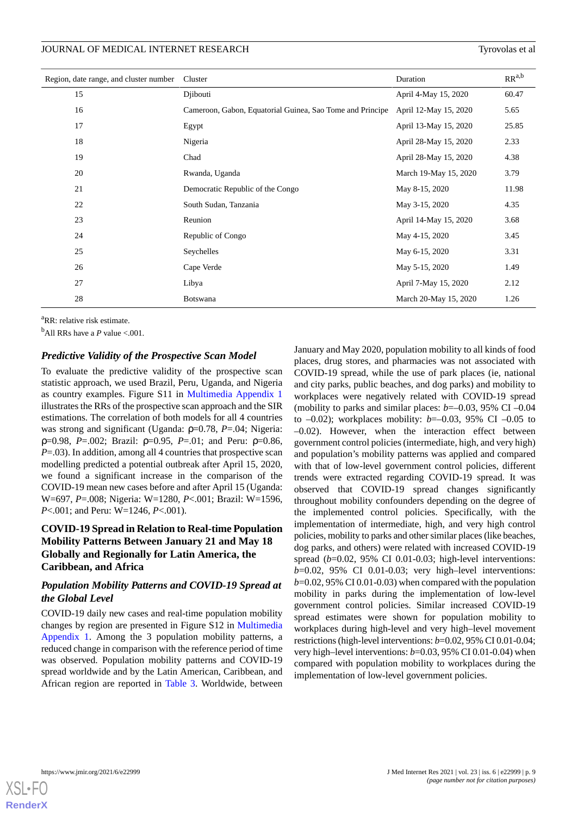| Region, date range, and cluster number | Cluster                                                   | Duration              | $RR^{a,b}$ |
|----------------------------------------|-----------------------------------------------------------|-----------------------|------------|
| 15                                     | Diibouti                                                  | April 4-May 15, 2020  | 60.47      |
| 16                                     | Cameroon, Gabon, Equatorial Guinea, Sao Tome and Principe | April 12-May 15, 2020 | 5.65       |
| 17                                     | Egypt                                                     | April 13-May 15, 2020 | 25.85      |
| 18                                     | Nigeria                                                   | April 28-May 15, 2020 | 2.33       |
| 19                                     | Chad                                                      | April 28-May 15, 2020 | 4.38       |
| 20                                     | Rwanda, Uganda                                            | March 19-May 15, 2020 | 3.79       |
| 21                                     | Democratic Republic of the Congo                          | May 8-15, 2020        | 11.98      |
| 22                                     | South Sudan, Tanzania                                     | May 3-15, 2020        | 4.35       |
| 23                                     | Reunion                                                   | April 14-May 15, 2020 | 3.68       |
| 24                                     | Republic of Congo                                         | May 4-15, 2020        | 3.45       |
| 25                                     | Seychelles                                                | May 6-15, 2020        | 3.31       |
| 26                                     | Cape Verde                                                | May 5-15, 2020        | 1.49       |
| 27                                     | Libya                                                     | April 7-May 15, 2020  | 2.12       |
| 28                                     | <b>Botswana</b>                                           | March 20-May 15, 2020 | 1.26       |

<sup>a</sup>RR: relative risk estimate.

 $b$ All RRs have a *P* value <.001.

## *Predictive Validity of the Prospective Scan Model*

To evaluate the predictive validity of the prospective scan statistic approach, we used Brazil, Peru, Uganda, and Nigeria as country examples. Figure S11 in [Multimedia Appendix 1](#page-12-6) illustrates the RRs of the prospective scan approach and the SIR estimations. The correlation of both models for all 4 countries was strong and significant (Uganda: ρ=0.78, *P*=.04; Nigeria: ρ=0.98, *P*=.002; Brazil: ρ=0.95, *P*=.01; and Peru: ρ=0.86, *P*=.03). In addition, among all 4 countries that prospective scan modelling predicted a potential outbreak after April 15, 2020, we found a significant increase in the comparison of the COVID-19 mean new cases before and after April 15 (Uganda: W=697, *P*=.008; Nigeria: W=1280, *P*<.001; Brazil: W=1596, *P*<.001; and Peru: W=1246, *P*<.001).

## **COVID-19 Spread in Relation to Real-time Population Mobility Patterns Between January 21 and May 18 Globally and Regionally for Latin America, the Caribbean, and Africa**

## *Population Mobility Patterns and COVID-19 Spread at the Global Level*

COVID-19 daily new cases and real-time population mobility changes by region are presented in Figure S12 in [Multimedia](#page-12-6) [Appendix 1.](#page-12-6) Among the 3 population mobility patterns, a reduced change in comparison with the reference period of time was observed. Population mobility patterns and COVID-19 spread worldwide and by the Latin American, Caribbean, and African region are reported in [Table 3.](#page-9-0) Worldwide, between January and May 2020, population mobility to all kinds of food places, drug stores, and pharmacies was not associated with COVID-19 spread, while the use of park places (ie, national and city parks, public beaches, and dog parks) and mobility to workplaces were negatively related with COVID-19 spread (mobility to parks and similar places: *b*=–0.03, 95% CI –0.04 to –0.02); workplaces mobility: *b*=–0.03, 95% CI –0.05 to –0.02). However, when the interaction effect between government control policies (intermediate, high, and very high) and population's mobility patterns was applied and compared with that of low-level government control policies, different trends were extracted regarding COVID-19 spread. It was observed that COVID-19 spread changes significantly throughout mobility confounders depending on the degree of the implemented control policies. Specifically, with the implementation of intermediate, high, and very high control policies, mobility to parks and other similar places (like beaches, dog parks, and others) were related with increased COVID-19 spread (*b*=0.02, 95% CI 0.01-0.03; high-level interventions: *b*=0.02, 95% CI 0.01-0.03; very high–level interventions: *b*=0.02, 95% CI 0.01-0.03) when compared with the population mobility in parks during the implementation of low-level government control policies. Similar increased COVID-19 spread estimates were shown for population mobility to workplaces during high-level and very high–level movement restrictions (high-level interventions: *b*=0.02, 95% CI 0.01-0.04; very high–level interventions: *b*=0.03, 95% CI 0.01-0.04) when compared with population mobility to workplaces during the implementation of low-level government policies.

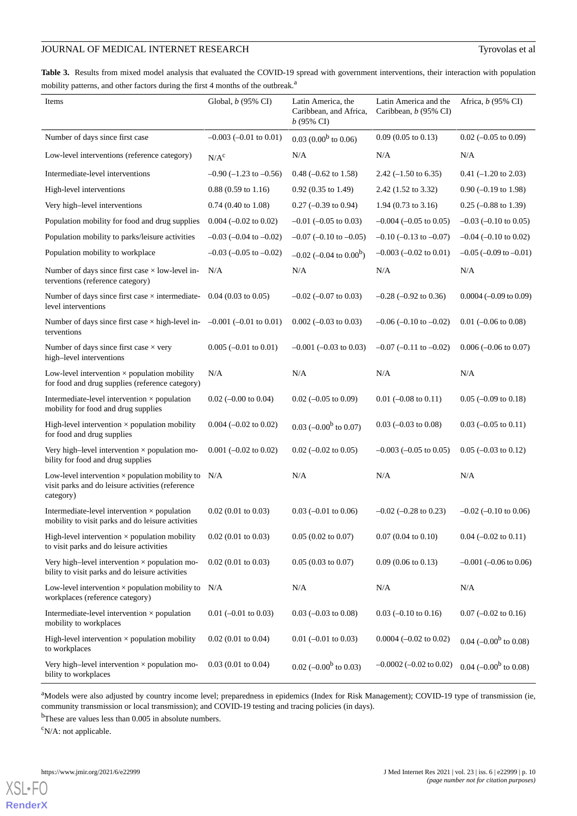<span id="page-9-0"></span>**Table 3.** Results from mixed model analysis that evaluated the COVID-19 spread with government interventions, their interaction with population mobility patterns, and other factors during the first 4 months of the outbreak.<sup>a</sup>

| Items                                                                                                                   | Global, $b$ (95% CI)             | Latin America, the<br>Caribbean, and Africa,<br>$b(95\% \text{ CI})$ | Latin America and the<br>Caribbean, b (95% CI) | Africa, <i>b</i> (95% CI)         |
|-------------------------------------------------------------------------------------------------------------------------|----------------------------------|----------------------------------------------------------------------|------------------------------------------------|-----------------------------------|
| Number of days since first case                                                                                         | $-0.003$ ( $-0.01$ to 0.01)      | $0.03(0.00b$ to 0.06)                                                | $0.09$ (0.05 to 0.13)                          | $0.02$ (-0.05 to 0.09)            |
| Low-level interventions (reference category)                                                                            | N/A <sup>c</sup>                 | N/A                                                                  | N/A                                            | N/A                               |
| Intermediate-level interventions                                                                                        | $-0.90$ ( $-1.23$ to $-0.56$ )   | $0.48$ (-0.62 to 1.58)                                               | 2.42 $(-1.50 \text{ to } 6.35)$                | $0.41$ (-1.20 to 2.03)            |
| High-level interventions                                                                                                | $0.88(0.59 \text{ to } 1.16)$    | $0.92$ (0.35 to 1.49)                                                | 2.42 (1.52 to 3.32)                            | $0.90$ (-0.19 to 1.98)            |
| Very high-level interventions                                                                                           | $0.74$ (0.40 to 1.08)            | $0.27$ (-0.39 to 0.94)                                               | $1.94(0.73 \text{ to } 3.16)$                  | $0.25$ (-0.88 to 1.39)            |
| Population mobility for food and drug supplies                                                                          | $0.004 (-0.02 \text{ to } 0.02)$ | $-0.01$ ( $-0.05$ to 0.03)                                           | $-0.004$ ( $-0.05$ to 0.05)                    | $-0.03$ ( $-0.10$ to 0.05)        |
| Population mobility to parks/leisure activities                                                                         | $-0.03$ ( $-0.04$ to $-0.02$ )   | $-0.07$ ( $-0.10$ to $-0.05$ )                                       | $-0.10$ $(-0.13$ to $-0.07)$                   | $-0.04$ ( $-0.10$ to 0.02)        |
| Population mobility to workplace                                                                                        | $-0.03$ ( $-0.05$ to $-0.02$ )   | $-0.02$ (-0.04 to 0.00 <sup>b</sup> )                                | $-0.003$ $(-0.02$ to $0.01)$                   | $-0.05$ ( $-0.09$ to $-0.01$ )    |
| Number of days since first case $\times$ low-level in-<br>terventions (reference category)                              | N/A                              | N/A                                                                  | N/A                                            | N/A                               |
| Number of days since first case $\times$ intermediate-<br>level interventions                                           | $0.04$ (0.03 to 0.05)            | $-0.02$ ( $-0.07$ to 0.03)                                           | $-0.28$ $(-0.92$ to 0.36)                      | $0.0004 (-0.09 \text{ to } 0.09)$ |
| Number of days since first case $\times$ high-level in- $-0.001$ (-0.01 to 0.01)<br>terventions                         |                                  | $0.002 (-0.03 \text{ to } 0.03)$                                     | $-0.06$ ( $-0.10$ to $-0.02$ )                 | $0.01$ (-0.06 to 0.08)            |
| Number of days since first case $\times$ very<br>high-level interventions                                               | $0.005$ (-0.01 to 0.01)          | $-0.001$ ( $-0.03$ to 0.03)                                          | $-0.07$ ( $-0.11$ to $-0.02$ )                 | $0.006 (-0.06 \text{ to } 0.07)$  |
| Low-level intervention $\times$ population mobility<br>for food and drug supplies (reference category)                  | N/A                              | N/A                                                                  | N/A                                            | N/A                               |
| Intermediate-level intervention $\times$ population<br>mobility for food and drug supplies                              | $0.02$ (-0.00 to 0.04)           | $0.02$ (-0.05 to 0.09)                                               | $0.01$ (-0.08 to 0.11)                         | $0.05$ (-0.09 to 0.18)            |
| High-level intervention $\times$ population mobility<br>for food and drug supplies                                      | $0.004 (-0.02 \text{ to } 0.02)$ | $0.03$ (-0.00 <sup>b</sup> to 0.07)                                  | $0.03$ (-0.03 to 0.08)                         | $0.03$ (-0.05 to 0.11)            |
| Very high-level intervention $\times$ population mo-<br>bility for food and drug supplies                               | $0.001$ (-0.02 to 0.02)          | $0.02$ (-0.02 to 0.05)                                               | $-0.003$ $(-0.05$ to 0.05)                     | $0.05$ (-0.03 to 0.12)            |
| Low-level intervention $\times$ population mobility to<br>visit parks and do leisure activities (reference<br>category) | N/A                              | N/A                                                                  | N/A                                            | N/A                               |
| Intermediate-level intervention $\times$ population<br>mobility to visit parks and do leisure activities                | $0.02$ (0.01 to 0.03)            | $0.03$ (-0.01 to 0.06)                                               | $-0.02$ ( $-0.28$ to 0.23)                     | $-0.02$ ( $-0.10$ to 0.06)        |
| High-level intervention $\times$ population mobility<br>to visit parks and do leisure activities                        | $0.02$ (0.01 to 0.03)            | $0.05(0.02 \text{ to } 0.07)$                                        | $0.07$ $(0.04$ to $0.10)$                      | $0.04 (-0.02 \text{ to } 0.11)$   |
| Very high-level intervention $\times$ population mo-<br>bility to visit parks and do leisure activities                 | $0.02$ (0.01 to 0.03)            | $0.05(0.03 \text{ to } 0.07)$                                        | $0.09$ (0.06 to 0.13)                          | $-0.001$ ( $-0.06$ to 0.06)       |
| Low-level intervention $\times$ population mobility to<br>workplaces (reference category)                               | N/A                              | N/A                                                                  | N/A                                            | N/A                               |
| Intermediate-level intervention $\times$ population<br>mobility to workplaces                                           | $0.01$ (-0.01 to 0.03)           | $0.03$ (-0.03 to 0.08)                                               | $0.03$ (-0.10 to 0.16)                         | $0.07$ (-0.02 to 0.16)            |
| High-level intervention $\times$ population mobility<br>to workplaces                                                   | $0.02$ (0.01 to 0.04)            | $0.01$ (-0.01 to 0.03)                                               | $0.0004 (-0.02 \text{ to } 0.02)$              | $0.04 (-0.00^b \text{ to } 0.08)$ |
| Very high-level intervention $\times$ population mo-<br>bility to workplaces                                            | $0.03(0.01 \text{ to } 0.04)$    | $0.02$ (-0.00 <sup>b</sup> to 0.03)                                  | $-0.0002 (-0.02 \text{ to } 0.02)$             | $0.04 (-0.00^b \text{ to } 0.08)$ |

<sup>a</sup>Models were also adjusted by country income level; preparedness in epidemics (Index for Risk Management); COVID-19 type of transmission (ie, community transmission or local transmission); and COVID-19 testing and tracing policies (in days).

<sup>b</sup>These are values less than 0.005 in absolute numbers.

 $\rm^c$ N/A: not applicable.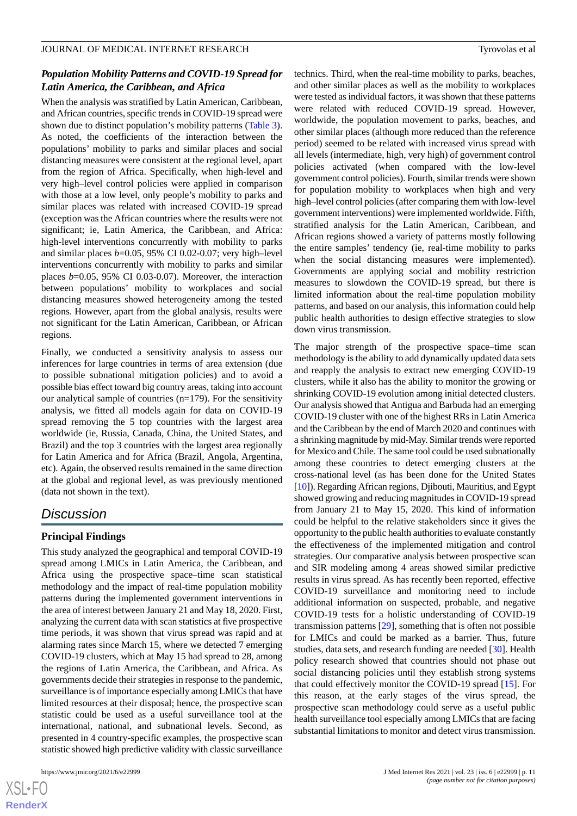### *Population Mobility Patterns and COVID-19 Spread for Latin America, the Caribbean, and Africa*

When the analysis was stratified by Latin American, Caribbean, and African countries, specific trends in COVID-19 spread were shown due to distinct population's mobility patterns [\(Table 3\)](#page-9-0). As noted, the coefficients of the interaction between the populations' mobility to parks and similar places and social distancing measures were consistent at the regional level, apart from the region of Africa. Specifically, when high-level and very high–level control policies were applied in comparison with those at a low level, only people's mobility to parks and similar places was related with increased COVID-19 spread (exception was the African countries where the results were not significant; ie, Latin America, the Caribbean, and Africa: high-level interventions concurrently with mobility to parks and similar places *b*=0.05, 95% CI 0.02-0.07; very high–level interventions concurrently with mobility to parks and similar places *b*=0.05, 95% CI 0.03-0.07). Moreover, the interaction between populations' mobility to workplaces and social distancing measures showed heterogeneity among the tested regions. However, apart from the global analysis, results were not significant for the Latin American, Caribbean, or African regions.

Finally, we conducted a sensitivity analysis to assess our inferences for large countries in terms of area extension (due to possible subnational mitigation policies) and to avoid a possible bias effect toward big country areas, taking into account our analytical sample of countries (n=179). For the sensitivity analysis, we fitted all models again for data on COVID-19 spread removing the 5 top countries with the largest area worldwide (ie, Russia, Canada, China, the United States, and Brazil) and the top 3 countries with the largest area regionally for Latin America and for Africa (Brazil, Angola, Argentina, etc). Again, the observed results remained in the same direction at the global and regional level, as was previously mentioned (data not shown in the text).

## *Discussion*

## **Principal Findings**

This study analyzed the geographical and temporal COVID-19 spread among LMICs in Latin America, the Caribbean, and Africa using the prospective space–time scan statistical methodology and the impact of real-time population mobility patterns during the implemented government interventions in the area of interest between January 21 and May 18, 2020. First, analyzing the current data with scan statistics at five prospective time periods, it was shown that virus spread was rapid and at alarming rates since March 15, where we detected 7 emerging COVID-19 clusters, which at May 15 had spread to 28, among the regions of Latin America, the Caribbean, and Africa. As governments decide their strategies in response to the pandemic, surveillance is of importance especially among LMICs that have limited resources at their disposal; hence, the prospective scan statistic could be used as a useful surveillance tool at the international, national, and subnational levels. Second, as presented in 4 country-specific examples, the prospective scan statistic showed high predictive validity with classic surveillance

technics. Third, when the real-time mobility to parks, beaches, and other similar places as well as the mobility to workplaces were tested as individual factors, it was shown that these patterns were related with reduced COVID-19 spread. However, worldwide, the population movement to parks, beaches, and other similar places (although more reduced than the reference period) seemed to be related with increased virus spread with all levels (intermediate, high, very high) of government control policies activated (when compared with the low-level government control policies). Fourth, similar trends were shown for population mobility to workplaces when high and very high–level control policies (after comparing them with low-level government interventions) were implemented worldwide. Fifth, stratified analysis for the Latin American, Caribbean, and African regions showed a variety of patterns mostly following the entire samples' tendency (ie, real-time mobility to parks when the social distancing measures were implemented). Governments are applying social and mobility restriction measures to slowdown the COVID-19 spread, but there is limited information about the real-time population mobility patterns, and based on our analysis, this information could help public health authorities to design effective strategies to slow down virus transmission.

The major strength of the prospective space–time scan methodology is the ability to add dynamically updated data sets and reapply the analysis to extract new emerging COVID-19 clusters, while it also has the ability to monitor the growing or shrinking COVID-19 evolution among initial detected clusters. Our analysis showed that Antigua and Barbuda had an emerging COVID-19 cluster with one of the highest RRs in Latin America and the Caribbean by the end of March 2020 and continues with a shrinking magnitude by mid-May. Similar trends were reported for Mexico and Chile. The same tool could be used subnationally among these countries to detect emerging clusters at the cross-national level (as has been done for the United States [[10\]](#page-13-3)). Regarding African regions, Djibouti, Mauritius, and Egypt showed growing and reducing magnitudes in COVID-19 spread from January 21 to May 15, 2020. This kind of information could be helpful to the relative stakeholders since it gives the opportunity to the public health authorities to evaluate constantly the effectiveness of the implemented mitigation and control strategies. Our comparative analysis between prospective scan and SIR modeling among 4 areas showed similar predictive results in virus spread. As has recently been reported, effective COVID-19 surveillance and monitoring need to include additional information on suspected, probable, and negative COVID-19 tests for a holistic understanding of COVID-19 transmission patterns [[29\]](#page-13-22), something that is often not possible for LMICs and could be marked as a barrier. Thus, future studies, data sets, and research funding are needed [\[30](#page-13-23)]. Health policy research showed that countries should not phase out social distancing policies until they establish strong systems that could effectively monitor the COVID-19 spread [\[15](#page-13-8)]. For this reason, at the early stages of the virus spread, the prospective scan methodology could serve as a useful public health surveillance tool especially among LMICs that are facing substantial limitations to monitor and detect virus transmission.

 $XSJ \cdot F$ **[RenderX](http://www.renderx.com/)**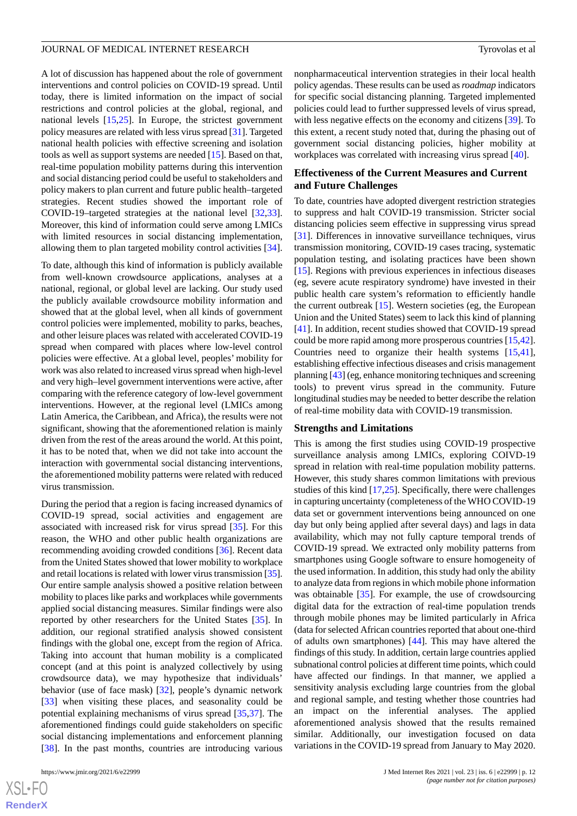A lot of discussion has happened about the role of government interventions and control policies on COVID-19 spread. Until today, there is limited information on the impact of social restrictions and control policies at the global, regional, and national levels [\[15](#page-13-8),[25\]](#page-13-18). In Europe, the strictest government policy measures are related with less virus spread [[31\]](#page-14-0). Targeted national health policies with effective screening and isolation tools as well as support systems are needed [[15\]](#page-13-8). Based on that, real-time population mobility patterns during this intervention and social distancing period could be useful to stakeholders and policy makers to plan current and future public health–targeted strategies. Recent studies showed the important role of COVID-19–targeted strategies at the national level [\[32](#page-14-1),[33\]](#page-14-2). Moreover, this kind of information could serve among LMICs with limited resources in social distancing implementation, allowing them to plan targeted mobility control activities [[34\]](#page-14-3).

To date, although this kind of information is publicly available from well-known crowdsource applications, analyses at a national, regional, or global level are lacking. Our study used the publicly available crowdsource mobility information and showed that at the global level, when all kinds of government control policies were implemented, mobility to parks, beaches, and other leisure places was related with accelerated COVID-19 spread when compared with places where low-level control policies were effective. At a global level, peoples' mobility for work was also related to increased virus spread when high-level and very high–level government interventions were active, after comparing with the reference category of low-level government interventions. However, at the regional level (LMICs among Latin America, the Caribbean, and Africa), the results were not significant, showing that the aforementioned relation is mainly driven from the rest of the areas around the world. At this point, it has to be noted that, when we did not take into account the interaction with governmental social distancing interventions, the aforementioned mobility patterns were related with reduced virus transmission.

During the period that a region is facing increased dynamics of COVID-19 spread, social activities and engagement are associated with increased risk for virus spread [\[35](#page-14-4)]. For this reason, the WHO and other public health organizations are recommending avoiding crowded conditions [\[36](#page-14-5)]. Recent data from the United States showed that lower mobility to workplace and retail locations is related with lower virus transmission [\[35\]](#page-14-4). Our entire sample analysis showed a positive relation between mobility to places like parks and workplaces while governments applied social distancing measures. Similar findings were also reported by other researchers for the United States [\[35](#page-14-4)]. In addition, our regional stratified analysis showed consistent findings with the global one, except from the region of Africa. Taking into account that human mobility is a complicated concept (and at this point is analyzed collectively by using crowdsource data), we may hypothesize that individuals' behavior (use of face mask) [[32\]](#page-14-1), people's dynamic network [[33\]](#page-14-2) when visiting these places, and seasonality could be potential explaining mechanisms of virus spread [[35](#page-14-4)[,37](#page-14-6)]. The aforementioned findings could guide stakeholders on specific social distancing implementations and enforcement planning [[38\]](#page-14-7). In the past months, countries are introducing various

 $XS$  $\cdot$ FC **[RenderX](http://www.renderx.com/)** nonpharmaceutical intervention strategies in their local health policy agendas. These results can be used as *roadmap* indicators for specific social distancing planning. Targeted implemented policies could lead to further suppressed levels of virus spread, with less negative effects on the economy and citizens [\[39](#page-14-8)]. To this extent, a recent study noted that, during the phasing out of government social distancing policies, higher mobility at workplaces was correlated with increasing virus spread [\[40](#page-14-9)].

#### **Effectiveness of the Current Measures and Current and Future Challenges**

To date, countries have adopted divergent restriction strategies to suppress and halt COVID-19 transmission. Stricter social distancing policies seem effective in suppressing virus spread [[31\]](#page-14-0). Differences in innovative surveillance techniques, virus transmission monitoring, COVID-19 cases tracing, systematic population testing, and isolating practices have been shown [[15\]](#page-13-8). Regions with previous experiences in infectious diseases (eg, severe acute respiratory syndrome) have invested in their public health care system's reformation to efficiently handle the current outbreak  $[15]$  $[15]$ . Western societies (eg, the European Union and the United States) seem to lack this kind of planning [[41\]](#page-14-10). In addition, recent studies showed that COVID-19 spread could be more rapid among more prosperous countries [\[15](#page-13-8),[42\]](#page-14-11). Countries need to organize their health systems [\[15](#page-13-8),[41\]](#page-14-10), establishing effective infectious diseases and crisis management planning [\[43](#page-14-12)] (eg, enhance monitoring techniques and screening tools) to prevent virus spread in the community. Future longitudinal studies may be needed to better describe the relation of real-time mobility data with COVID-19 transmission.

#### **Strengths and Limitations**

This is among the first studies using COVID-19 prospective surveillance analysis among LMICs, exploring COIVD-19 spread in relation with real-time population mobility patterns. However, this study shares common limitations with previous studies of this kind [\[17](#page-13-10),[25\]](#page-13-18). Specifically, there were challenges in capturing uncertainty (completeness of the WHO COVID-19 data set or government interventions being announced on one day but only being applied after several days) and lags in data availability, which may not fully capture temporal trends of COVID-19 spread. We extracted only mobility patterns from smartphones using Google software to ensure homogeneity of the used information. In addition, this study had only the ability to analyze data from regions in which mobile phone information was obtainable [[35\]](#page-14-4). For example, the use of crowdsourcing digital data for the extraction of real-time population trends through mobile phones may be limited particularly in Africa (data for selected African countries reported that about one-third of adults own smartphones) [\[44](#page-14-13)]. This may have altered the findings of this study. In addition, certain large countries applied subnational control policies at different time points, which could have affected our findings. In that manner, we applied a sensitivity analysis excluding large countries from the global and regional sample, and testing whether those countries had an impact on the inferential analyses. The applied aforementioned analysis showed that the results remained similar. Additionally, our investigation focused on data variations in the COVID-19 spread from January to May 2020.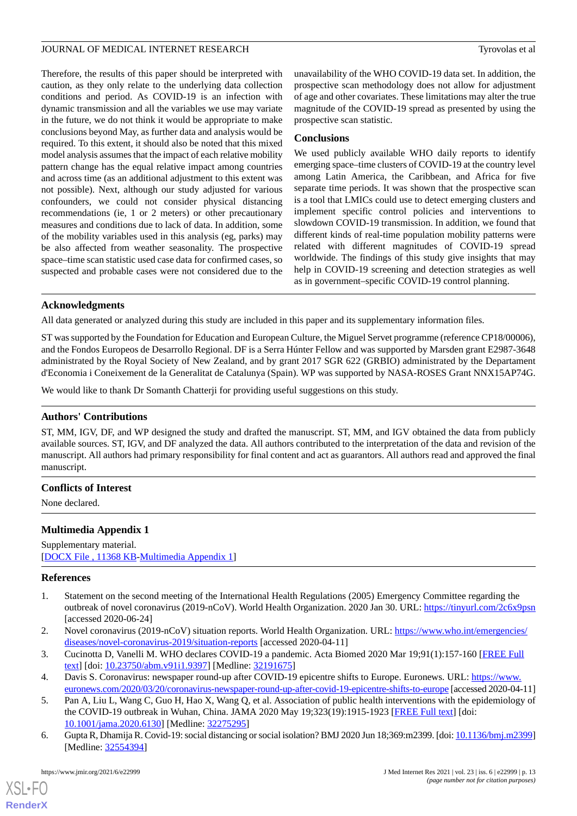Therefore, the results of this paper should be interpreted with caution, as they only relate to the underlying data collection conditions and period. As COVID-19 is an infection with dynamic transmission and all the variables we use may variate in the future, we do not think it would be appropriate to make conclusions beyond May, as further data and analysis would be required. To this extent, it should also be noted that this mixed model analysis assumes that the impact of each relative mobility pattern change has the equal relative impact among countries and across time (as an additional adjustment to this extent was not possible). Next, although our study adjusted for various confounders, we could not consider physical distancing recommendations (ie, 1 or 2 meters) or other precautionary measures and conditions due to lack of data. In addition, some of the mobility variables used in this analysis (eg, parks) may be also affected from weather seasonality. The prospective space–time scan statistic used case data for confirmed cases, so suspected and probable cases were not considered due to the

unavailability of the WHO COVID-19 data set. In addition, the prospective scan methodology does not allow for adjustment of age and other covariates. These limitations may alter the true magnitude of the COVID-19 spread as presented by using the prospective scan statistic.

## **Conclusions**

We used publicly available WHO daily reports to identify emerging space–time clusters of COVID-19 at the country level among Latin America, the Caribbean, and Africa for five separate time periods. It was shown that the prospective scan is a tool that LMICs could use to detect emerging clusters and implement specific control policies and interventions to slowdown COVID-19 transmission. In addition, we found that different kinds of real-time population mobility patterns were related with different magnitudes of COVID-19 spread worldwide. The findings of this study give insights that may help in COVID-19 screening and detection strategies as well as in government–specific COVID-19 control planning.

## **Acknowledgments**

All data generated or analyzed during this study are included in this paper and its supplementary information files.

ST was supported by the Foundation for Education and European Culture, the Miguel Servet programme (reference CP18/00006), and the Fondos Europeos de Desarrollo Regional. DF is a Serra Húnter Fellow and was supported by Marsden grant E2987-3648 administrated by the Royal Society of New Zealand, and by grant 2017 SGR 622 (GRBIO) administrated by the Departament d'Economia i Coneixement de la Generalitat de Catalunya (Spain). WP was supported by NASA-ROSES Grant NNX15AP74G.

We would like to thank Dr Somanth Chatterji for providing useful suggestions on this study.

## **Authors' Contributions**

ST, MM, IGV, DF, and WP designed the study and drafted the manuscript. ST, MM, and IGV obtained the data from publicly available sources. ST, IGV, and DF analyzed the data. All authors contributed to the interpretation of the data and revision of the manuscript. All authors had primary responsibility for final content and act as guarantors. All authors read and approved the final manuscript.

## <span id="page-12-6"></span>**Conflicts of Interest**

None declared.

## **Multimedia Appendix 1**

<span id="page-12-0"></span>Supplementary material. [[DOCX File , 11368 KB-Multimedia Appendix 1\]](https://jmir.org/api/download?alt_name=jmir_v23i6e22999_app1.docx&filename=5b033d42c8c3408faf506099f8cc415e.docx)

#### <span id="page-12-1"></span>**References**

- <span id="page-12-3"></span><span id="page-12-2"></span>1. Statement on the second meeting of the International Health Regulations (2005) Emergency Committee regarding the outbreak of novel coronavirus (2019-nCoV). World Health Organization. 2020 Jan 30. URL: [https://tinyurl.com/2c6x9psn](https://www.who.int/news-room/detail/30-01-2020-statement-on-the-second-meeting-of-the-international-health-regulations-(2005)-emergency-committee-regarding-the-outbreak-of-novel-coronavirus-(2019-ncov)) [accessed 2020-06-24]
- <span id="page-12-4"></span>2. Novel coronavirus (2019-nCoV) situation reports. World Health Organization. URL: [https://www.who.int/emergencies/](https://www.who.int/emergencies/diseases/novel-coronavirus-2019/situation-reports) [diseases/novel-coronavirus-2019/situation-reports](https://www.who.int/emergencies/diseases/novel-coronavirus-2019/situation-reports) [accessed 2020-04-11]
- <span id="page-12-5"></span>3. Cucinotta D, Vanelli M. WHO declares COVID-19 a pandemic. Acta Biomed 2020 Mar 19;91(1):157-160 [[FREE Full](http://europepmc.org/abstract/MED/32191675) [text](http://europepmc.org/abstract/MED/32191675)] [doi: [10.23750/abm.v91i1.9397\]](http://dx.doi.org/10.23750/abm.v91i1.9397) [Medline: [32191675\]](http://www.ncbi.nlm.nih.gov/entrez/query.fcgi?cmd=Retrieve&db=PubMed&list_uids=32191675&dopt=Abstract)
- 4. Davis S. Coronavirus: newspaper round-up after COVID-19 epicentre shifts to Europe. Euronews. URL: [https://www.](https://www.euronews.com/2020/03/20/coronavirus-newspaper-round-up-after-covid-19-epicentre-shifts-to-europe) [euronews.com/2020/03/20/coronavirus-newspaper-round-up-after-covid-19-epicentre-shifts-to-europe](https://www.euronews.com/2020/03/20/coronavirus-newspaper-round-up-after-covid-19-epicentre-shifts-to-europe) [accessed 2020-04-11]
- 5. Pan A, Liu L, Wang C, Guo H, Hao X, Wang Q, et al. Association of public health interventions with the epidemiology of the COVID-19 outbreak in Wuhan, China. JAMA 2020 May 19;323(19):1915-1923 [\[FREE Full text\]](http://europepmc.org/abstract/MED/32275295) [doi: [10.1001/jama.2020.6130](http://dx.doi.org/10.1001/jama.2020.6130)] [Medline: [32275295](http://www.ncbi.nlm.nih.gov/entrez/query.fcgi?cmd=Retrieve&db=PubMed&list_uids=32275295&dopt=Abstract)]
- 6. Gupta R, Dhamija R. Covid-19: social distancing or social isolation? BMJ 2020 Jun 18;369:m2399. [doi: [10.1136/bmj.m2399\]](http://dx.doi.org/10.1136/bmj.m2399) [Medline: [32554394](http://www.ncbi.nlm.nih.gov/entrez/query.fcgi?cmd=Retrieve&db=PubMed&list_uids=32554394&dopt=Abstract)]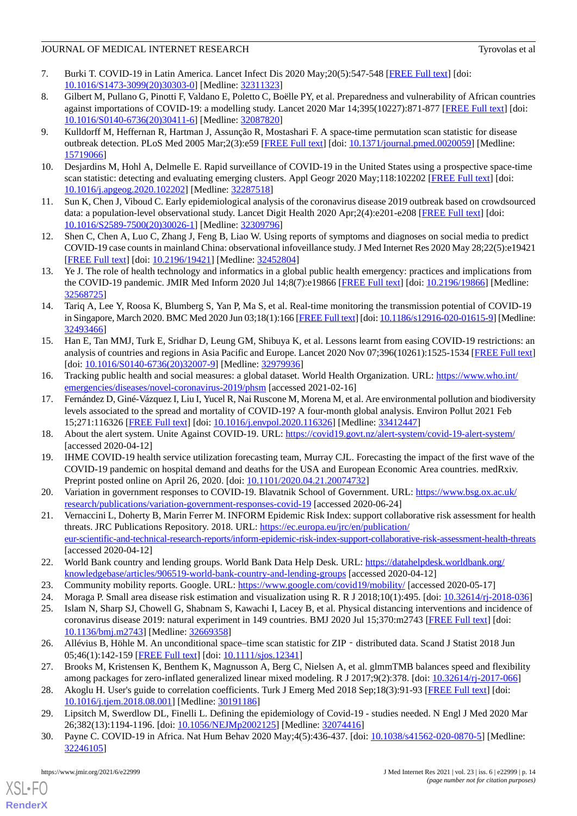- <span id="page-13-0"></span>7. Burki T. COVID-19 in Latin America. Lancet Infect Dis 2020 May;20(5):547-548 [[FREE Full text](http://europepmc.org/abstract/MED/32311323)] [doi: [10.1016/S1473-3099\(20\)30303-0\]](http://dx.doi.org/10.1016/S1473-3099(20)30303-0) [Medline: [32311323](http://www.ncbi.nlm.nih.gov/entrez/query.fcgi?cmd=Retrieve&db=PubMed&list_uids=32311323&dopt=Abstract)]
- <span id="page-13-1"></span>8. Gilbert M, Pullano G, Pinotti F, Valdano E, Poletto C, Boëlle PY, et al. Preparedness and vulnerability of African countries against importations of COVID-19: a modelling study. Lancet 2020 Mar 14;395(10227):871-877 [[FREE Full text](http://europepmc.org/abstract/MED/32087820)] [doi: [10.1016/S0140-6736\(20\)30411-6\]](http://dx.doi.org/10.1016/S0140-6736(20)30411-6) [Medline: [32087820](http://www.ncbi.nlm.nih.gov/entrez/query.fcgi?cmd=Retrieve&db=PubMed&list_uids=32087820&dopt=Abstract)]
- <span id="page-13-2"></span>9. Kulldorff M, Heffernan R, Hartman J, Assunção R, Mostashari F. A space-time permutation scan statistic for disease outbreak detection. PLoS Med 2005 Mar;2(3):e59 [[FREE Full text](https://dx.plos.org/10.1371/journal.pmed.0020059)] [doi: [10.1371/journal.pmed.0020059](http://dx.doi.org/10.1371/journal.pmed.0020059)] [Medline: [15719066](http://www.ncbi.nlm.nih.gov/entrez/query.fcgi?cmd=Retrieve&db=PubMed&list_uids=15719066&dopt=Abstract)]
- <span id="page-13-4"></span><span id="page-13-3"></span>10. Desjardins M, Hohl A, Delmelle E. Rapid surveillance of COVID-19 in the United States using a prospective space-time scan statistic: detecting and evaluating emerging clusters. Appl Geogr 2020 May;118:102202 [\[FREE Full text\]](http://europepmc.org/abstract/MED/32287518) [doi: [10.1016/j.apgeog.2020.102202\]](http://dx.doi.org/10.1016/j.apgeog.2020.102202) [Medline: [32287518\]](http://www.ncbi.nlm.nih.gov/entrez/query.fcgi?cmd=Retrieve&db=PubMed&list_uids=32287518&dopt=Abstract)
- <span id="page-13-5"></span>11. Sun K, Chen J, Viboud C. Early epidemiological analysis of the coronavirus disease 2019 outbreak based on crowdsourced data: a population-level observational study. Lancet Digit Health 2020 Apr;2(4):e201-e208 [\[FREE Full text\]](https://linkinghub.elsevier.com/retrieve/pii/S2589-7500(20)30026-1) [doi: [10.1016/S2589-7500\(20\)30026-1\]](http://dx.doi.org/10.1016/S2589-7500(20)30026-1) [Medline: [32309796](http://www.ncbi.nlm.nih.gov/entrez/query.fcgi?cmd=Retrieve&db=PubMed&list_uids=32309796&dopt=Abstract)]
- <span id="page-13-6"></span>12. Shen C, Chen A, Luo C, Zhang J, Feng B, Liao W. Using reports of symptoms and diagnoses on social media to predict COVID-19 case counts in mainland China: observational infoveillance study. J Med Internet Res 2020 May 28;22(5):e19421 [[FREE Full text](https://www.jmir.org/2020/5/e19421/)] [doi: [10.2196/19421\]](http://dx.doi.org/10.2196/19421) [Medline: [32452804\]](http://www.ncbi.nlm.nih.gov/entrez/query.fcgi?cmd=Retrieve&db=PubMed&list_uids=32452804&dopt=Abstract)
- <span id="page-13-7"></span>13. Ye J. The role of health technology and informatics in a global public health emergency: practices and implications from the COVID-19 pandemic. JMIR Med Inform 2020 Jul 14;8(7):e19866 [[FREE Full text](https://medinform.jmir.org/2020/7/e19866/)] [doi: [10.2196/19866\]](http://dx.doi.org/10.2196/19866) [Medline: [32568725](http://www.ncbi.nlm.nih.gov/entrez/query.fcgi?cmd=Retrieve&db=PubMed&list_uids=32568725&dopt=Abstract)]
- <span id="page-13-8"></span>14. Tariq A, Lee Y, Roosa K, Blumberg S, Yan P, Ma S, et al. Real-time monitoring the transmission potential of COVID-19 in Singapore, March 2020. BMC Med 2020 Jun 03;18(1):166 [[FREE Full text\]](https://bmcmedicine.biomedcentral.com/articles/10.1186/s12916-020-01615-9) [doi: [10.1186/s12916-020-01615-9\]](http://dx.doi.org/10.1186/s12916-020-01615-9) [Medline: [32493466](http://www.ncbi.nlm.nih.gov/entrez/query.fcgi?cmd=Retrieve&db=PubMed&list_uids=32493466&dopt=Abstract)]
- <span id="page-13-9"></span>15. Han E, Tan MMJ, Turk E, Sridhar D, Leung GM, Shibuya K, et al. Lessons learnt from easing COVID-19 restrictions: an analysis of countries and regions in Asia Pacific and Europe. Lancet 2020 Nov 07;396(10261):1525-1534 [[FREE Full text](http://europepmc.org/abstract/MED/32979936)] [doi: [10.1016/S0140-6736\(20\)32007-9](http://dx.doi.org/10.1016/S0140-6736(20)32007-9)] [Medline: [32979936\]](http://www.ncbi.nlm.nih.gov/entrez/query.fcgi?cmd=Retrieve&db=PubMed&list_uids=32979936&dopt=Abstract)
- <span id="page-13-10"></span>16. Tracking public health and social measures: a global dataset. World Health Organization. URL: [https://www.who.int/](https://www.who.int/emergencies/diseases/novel-coronavirus-2019/phsm) [emergencies/diseases/novel-coronavirus-2019/phsm](https://www.who.int/emergencies/diseases/novel-coronavirus-2019/phsm) [accessed 2021-02-16]
- <span id="page-13-12"></span><span id="page-13-11"></span>17. Fernández D, Giné-Vázquez I, Liu I, Yucel R, Nai Ruscone M, Morena M, et al. Are environmental pollution and biodiversity levels associated to the spread and mortality of COVID-19? A four-month global analysis. Environ Pollut 2021 Feb 15;271:116326 [[FREE Full text](http://europepmc.org/abstract/MED/33412447)] [doi: [10.1016/j.envpol.2020.116326\]](http://dx.doi.org/10.1016/j.envpol.2020.116326) [Medline: [33412447\]](http://www.ncbi.nlm.nih.gov/entrez/query.fcgi?cmd=Retrieve&db=PubMed&list_uids=33412447&dopt=Abstract)
- <span id="page-13-13"></span>18. About the alert system. Unite Against COVID-19. URL: <https://covid19.govt.nz/alert-system/covid-19-alert-system/> [accessed 2020-04-12]
- <span id="page-13-14"></span>19. IHME COVID-19 health service utilization forecasting team, Murray CJL. Forecasting the impact of the first wave of the COVID-19 pandemic on hospital demand and deaths for the USA and European Economic Area countries. medRxiv. Preprint posted online on April 26, 2020. [doi:  $10.1101/2020.04.21.20074732$ ]
- 20. Variation in government responses to COVID-19. Blavatnik School of Government. URL: [https://www.bsg.ox.ac.uk/](https://www.bsg.ox.ac.uk/research/publications/variation-government-responses-covid-19) [research/publications/variation-government-responses-covid-19](https://www.bsg.ox.ac.uk/research/publications/variation-government-responses-covid-19) [accessed 2020-06-24]
- <span id="page-13-17"></span><span id="page-13-16"></span><span id="page-13-15"></span>21. Vernaccini L, Doherty B, Marin Ferrer M. INFORM Epidemic Risk Index: support collaborative risk assessment for health threats. JRC Publications Repository. 2018. URL: [https://ec.europa.eu/jrc/en/publication/](https://ec.europa.eu/jrc/en/publication/eur-scientific-and-technical-research-reports/inform-epidemic-risk-index-support-collaborative-risk-assessment-health-threats) [eur-scientific-and-technical-research-reports/inform-epidemic-risk-index-support-collaborative-risk-assessment-health-threats](https://ec.europa.eu/jrc/en/publication/eur-scientific-and-technical-research-reports/inform-epidemic-risk-index-support-collaborative-risk-assessment-health-threats) [accessed 2020-04-12]
- <span id="page-13-18"></span>22. World Bank country and lending groups. World Bank Data Help Desk. URL: [https://datahelpdesk.worldbank.org/](https://datahelpdesk.worldbank.org/knowledgebase/articles/906519-world-bank-country-and-lending-groups) [knowledgebase/articles/906519-world-bank-country-and-lending-groups](https://datahelpdesk.worldbank.org/knowledgebase/articles/906519-world-bank-country-and-lending-groups) [accessed 2020-04-12]
- <span id="page-13-19"></span>23. Community mobility reports. Google. URL: <https://www.google.com/covid19/mobility/> [accessed 2020-05-17]
- <span id="page-13-20"></span>24. Moraga P. Small area disease risk estimation and visualization using R. R J 2018;10(1):495. [doi: [10.32614/rj-2018-036](http://dx.doi.org/10.32614/rj-2018-036)]
- <span id="page-13-21"></span>25. Islam N, Sharp SJ, Chowell G, Shabnam S, Kawachi I, Lacey B, et al. Physical distancing interventions and incidence of coronavirus disease 2019: natural experiment in 149 countries. BMJ 2020 Jul 15;370:m2743 [\[FREE Full text\]](http://www.bmj.com/lookup/pmidlookup?view=long&pmid=32669358) [doi: [10.1136/bmj.m2743\]](http://dx.doi.org/10.1136/bmj.m2743) [Medline: [32669358](http://www.ncbi.nlm.nih.gov/entrez/query.fcgi?cmd=Retrieve&db=PubMed&list_uids=32669358&dopt=Abstract)]
- <span id="page-13-22"></span>26. Allévius B, Höhle M. An unconditional space–time scan statistic for ZIP - distributed data. Scand J Statist 2018 Jun 05;46(1):142-159 [[FREE Full text](https://onlinelibrary.wiley.com/doi/abs/10.1111/sjos.12341)] [doi: [10.1111/sjos.12341\]](http://dx.doi.org/10.1111/sjos.12341)
- <span id="page-13-23"></span>27. Brooks M, Kristensen K, Benthem K, Magnusson A, Berg C, Nielsen A, et al. glmmTMB balances speed and flexibility among packages for zero-inflated generalized linear mixed modeling. R J 2017;9(2):378. [doi: [10.32614/rj-2017-066](http://dx.doi.org/10.32614/rj-2017-066)]
- 28. Akoglu H. User's guide to correlation coefficients. Turk J Emerg Med 2018 Sep;18(3):91-93 [[FREE Full text](https://linkinghub.elsevier.com/retrieve/pii/S2452-2473(18)30216-4)] [doi: [10.1016/j.tjem.2018.08.001](http://dx.doi.org/10.1016/j.tjem.2018.08.001)] [Medline: [30191186](http://www.ncbi.nlm.nih.gov/entrez/query.fcgi?cmd=Retrieve&db=PubMed&list_uids=30191186&dopt=Abstract)]
- 29. Lipsitch M, Swerdlow DL, Finelli L. Defining the epidemiology of Covid-19 studies needed. N Engl J Med 2020 Mar 26;382(13):1194-1196. [doi: [10.1056/NEJMp2002125\]](http://dx.doi.org/10.1056/NEJMp2002125) [Medline: [32074416\]](http://www.ncbi.nlm.nih.gov/entrez/query.fcgi?cmd=Retrieve&db=PubMed&list_uids=32074416&dopt=Abstract)
- 30. Payne C. COVID-19 in Africa. Nat Hum Behav 2020 May;4(5):436-437. [doi: [10.1038/s41562-020-0870-5](http://dx.doi.org/10.1038/s41562-020-0870-5)] [Medline: [32246105](http://www.ncbi.nlm.nih.gov/entrez/query.fcgi?cmd=Retrieve&db=PubMed&list_uids=32246105&dopt=Abstract)]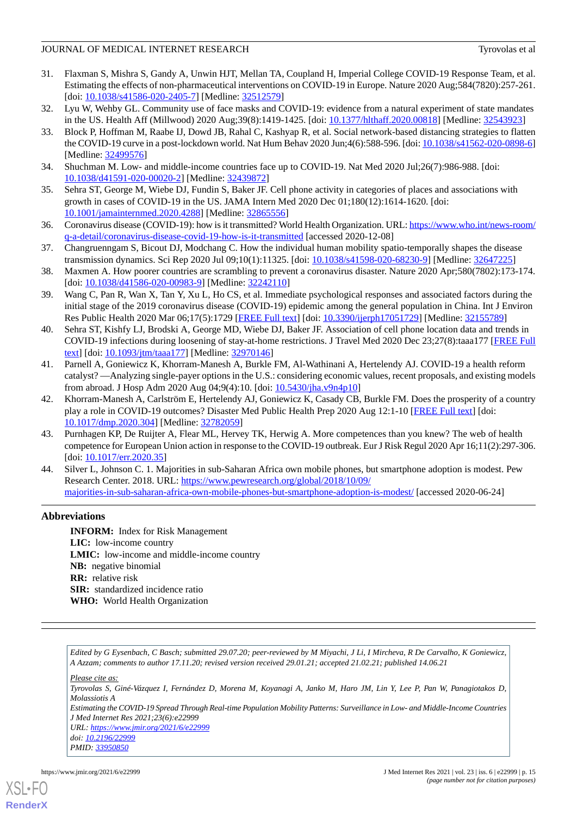- <span id="page-14-0"></span>31. Flaxman S, Mishra S, Gandy A, Unwin HJT, Mellan TA, Coupland H, Imperial College COVID-19 Response Team, et al. Estimating the effects of non-pharmaceutical interventions on COVID-19 in Europe. Nature 2020 Aug;584(7820):257-261. [doi: [10.1038/s41586-020-2405-7](http://dx.doi.org/10.1038/s41586-020-2405-7)] [Medline: [32512579\]](http://www.ncbi.nlm.nih.gov/entrez/query.fcgi?cmd=Retrieve&db=PubMed&list_uids=32512579&dopt=Abstract)
- <span id="page-14-2"></span><span id="page-14-1"></span>32. Lyu W, Wehby GL. Community use of face masks and COVID-19: evidence from a natural experiment of state mandates in the US. Health Aff (Millwood) 2020 Aug;39(8):1419-1425. [doi: [10.1377/hlthaff.2020.00818](http://dx.doi.org/10.1377/hlthaff.2020.00818)] [Medline: [32543923](http://www.ncbi.nlm.nih.gov/entrez/query.fcgi?cmd=Retrieve&db=PubMed&list_uids=32543923&dopt=Abstract)]
- 33. Block P, Hoffman M, Raabe IJ, Dowd JB, Rahal C, Kashyap R, et al. Social network-based distancing strategies to flatten the COVID-19 curve in a post-lockdown world. Nat Hum Behav 2020 Jun;4(6):588-596. [doi: [10.1038/s41562-020-0898-6\]](http://dx.doi.org/10.1038/s41562-020-0898-6) [Medline: [32499576](http://www.ncbi.nlm.nih.gov/entrez/query.fcgi?cmd=Retrieve&db=PubMed&list_uids=32499576&dopt=Abstract)]
- <span id="page-14-4"></span><span id="page-14-3"></span>34. Shuchman M. Low- and middle-income countries face up to COVID-19. Nat Med 2020 Jul;26(7):986-988. [doi: [10.1038/d41591-020-00020-2\]](http://dx.doi.org/10.1038/d41591-020-00020-2) [Medline: [32439872\]](http://www.ncbi.nlm.nih.gov/entrez/query.fcgi?cmd=Retrieve&db=PubMed&list_uids=32439872&dopt=Abstract)
- <span id="page-14-5"></span>35. Sehra ST, George M, Wiebe DJ, Fundin S, Baker JF. Cell phone activity in categories of places and associations with growth in cases of COVID-19 in the US. JAMA Intern Med 2020 Dec 01;180(12):1614-1620. [doi: [10.1001/jamainternmed.2020.4288\]](http://dx.doi.org/10.1001/jamainternmed.2020.4288) [Medline: [32865556\]](http://www.ncbi.nlm.nih.gov/entrez/query.fcgi?cmd=Retrieve&db=PubMed&list_uids=32865556&dopt=Abstract)
- <span id="page-14-6"></span>36. Coronavirus disease (COVID-19): how is it transmitted? World Health Organization. URL: [https://www.who.int/news-room/](https://www.who.int/news-room/q-a-detail/coronavirus-disease-covid-19-how-is-it-transmitted) [q-a-detail/coronavirus-disease-covid-19-how-is-it-transmitted](https://www.who.int/news-room/q-a-detail/coronavirus-disease-covid-19-how-is-it-transmitted) [accessed 2020-12-08]
- <span id="page-14-7"></span>37. Changruenngam S, Bicout DJ, Modchang C. How the individual human mobility spatio-temporally shapes the disease transmission dynamics. Sci Rep 2020 Jul 09;10(1):11325. [doi: [10.1038/s41598-020-68230-9](http://dx.doi.org/10.1038/s41598-020-68230-9)] [Medline: [32647225](http://www.ncbi.nlm.nih.gov/entrez/query.fcgi?cmd=Retrieve&db=PubMed&list_uids=32647225&dopt=Abstract)]
- <span id="page-14-8"></span>38. Maxmen A. How poorer countries are scrambling to prevent a coronavirus disaster. Nature 2020 Apr;580(7802):173-174. [doi: [10.1038/d41586-020-00983-9](http://dx.doi.org/10.1038/d41586-020-00983-9)] [Medline: [32242110\]](http://www.ncbi.nlm.nih.gov/entrez/query.fcgi?cmd=Retrieve&db=PubMed&list_uids=32242110&dopt=Abstract)
- <span id="page-14-9"></span>39. Wang C, Pan R, Wan X, Tan Y, Xu L, Ho CS, et al. Immediate psychological responses and associated factors during the initial stage of the 2019 coronavirus disease (COVID-19) epidemic among the general population in China. Int J Environ Res Public Health 2020 Mar 06;17(5):1729 [[FREE Full text](https://www.mdpi.com/resolver?pii=ijerph17051729)] [doi: [10.3390/ijerph17051729](http://dx.doi.org/10.3390/ijerph17051729)] [Medline: [32155789\]](http://www.ncbi.nlm.nih.gov/entrez/query.fcgi?cmd=Retrieve&db=PubMed&list_uids=32155789&dopt=Abstract)
- <span id="page-14-10"></span>40. Sehra ST, Kishfy LJ, Brodski A, George MD, Wiebe DJ, Baker JF. Association of cell phone location data and trends in COVID-19 infections during loosening of stay-at-home restrictions. J Travel Med 2020 Dec 23;27(8):taaa177 [[FREE Full](http://europepmc.org/abstract/MED/32970146) [text](http://europepmc.org/abstract/MED/32970146)] [doi: [10.1093/jtm/taaa177](http://dx.doi.org/10.1093/jtm/taaa177)] [Medline: [32970146\]](http://www.ncbi.nlm.nih.gov/entrez/query.fcgi?cmd=Retrieve&db=PubMed&list_uids=32970146&dopt=Abstract)
- <span id="page-14-11"></span>41. Parnell A, Goniewicz K, Khorram-Manesh A, Burkle FM, Al-Wathinani A, Hertelendy AJ. COVID-19 a health reform catalyst? —Analyzing single-payer options in the U.S.: considering economic values, recent proposals, and existing models from abroad. J Hosp Adm 2020 Aug 04;9(4):10. [doi: [10.5430/jha.v9n4p10](http://dx.doi.org/10.5430/jha.v9n4p10)]
- <span id="page-14-12"></span>42. Khorram-Manesh A, Carlström E, Hertelendy AJ, Goniewicz K, Casady CB, Burkle FM. Does the prosperity of a country play a role in COVID-19 outcomes? Disaster Med Public Health Prep 2020 Aug 12:1-10 [\[FREE Full text\]](http://europepmc.org/abstract/MED/32782059) [doi: [10.1017/dmp.2020.304\]](http://dx.doi.org/10.1017/dmp.2020.304) [Medline: [32782059](http://www.ncbi.nlm.nih.gov/entrez/query.fcgi?cmd=Retrieve&db=PubMed&list_uids=32782059&dopt=Abstract)]
- <span id="page-14-13"></span>43. Purnhagen KP, De Ruijter A, Flear ML, Hervey TK, Herwig A. More competences than you knew? The web of health competence for European Union action in response to the COVID-19 outbreak. Eur J Risk Regul 2020 Apr 16;11(2):297-306. [doi: [10.1017/err.2020.35\]](http://dx.doi.org/10.1017/err.2020.35)
- 44. Silver L, Johnson C. 1. Majorities in sub-Saharan Africa own mobile phones, but smartphone adoption is modest. Pew Research Center. 2018. URL: [https://www.pewresearch.org/global/2018/10/09/](https://www.pewresearch.org/global/2018/10/09/majorities-in-sub-saharan-africa-own-mobile-phones-but-smartphone-adoption-is-modest/) [majorities-in-sub-saharan-africa-own-mobile-phones-but-smartphone-adoption-is-modest/](https://www.pewresearch.org/global/2018/10/09/majorities-in-sub-saharan-africa-own-mobile-phones-but-smartphone-adoption-is-modest/) [accessed 2020-06-24]

## **Abbreviations**

**INFORM:** Index for Risk Management **LIC:** low-income country **LMIC:** low-income and middle-income country **NB:** negative binomial **RR:** relative risk **SIR:** standardized incidence ratio **WHO:** World Health Organization

*Edited by G Eysenbach, C Basch; submitted 29.07.20; peer-reviewed by M Miyachi, J Li, I Mircheva, R De Carvalho, K Goniewicz, A Azzam; comments to author 17.11.20; revised version received 29.01.21; accepted 21.02.21; published 14.06.21*

*Please cite as: Tyrovolas S, Giné-Vázquez I, Fernández D, Morena M, Koyanagi A, Janko M, Haro JM, Lin Y, Lee P, Pan W, Panagiotakos D, Molassiotis A Estimating the COVID-19 Spread Through Real-time Population Mobility Patterns: Surveillance in Low- and Middle-Income Countries J Med Internet Res 2021;23(6):e22999 URL: <https://www.jmir.org/2021/6/e22999> doi: [10.2196/22999](http://dx.doi.org/10.2196/22999) PMID: [33950850](http://www.ncbi.nlm.nih.gov/entrez/query.fcgi?cmd=Retrieve&db=PubMed&list_uids=33950850&dopt=Abstract)*